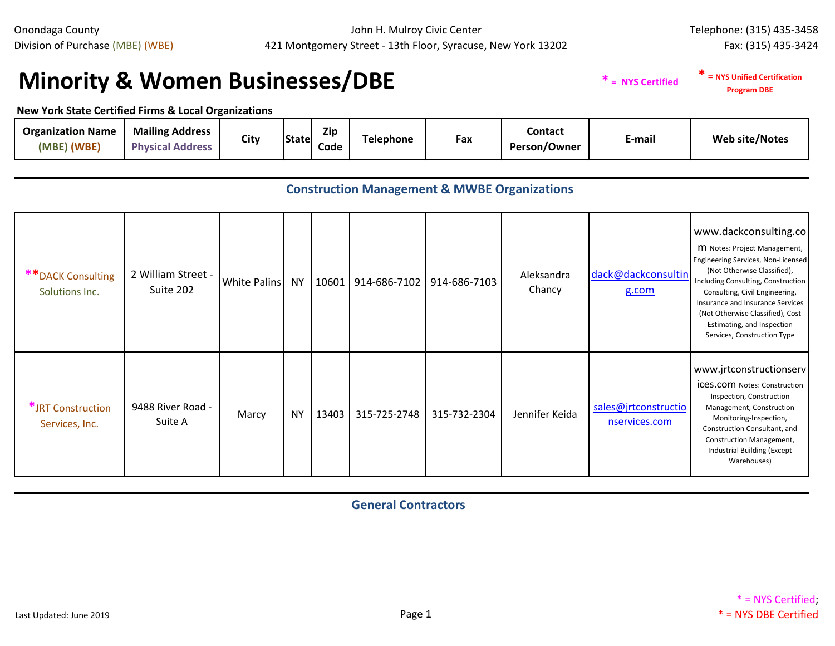John H. Mulroy Civic Center 421 Montgomery Street - 13th Floor, Syracuse, New York 13202

# **Minority & Women Businesses/DBE**  $*$  **Example 19 and Secret Equal A PT**

**\*** = **NYS Unified Certification Program DBE**

**New York State Certified Firms & Local Organizations**

| <b>Organization Name</b><br>(MBE) (WBE) | <b>Mailing Address</b><br><b>Physical Address</b> | City | <b>State</b> | Zip<br>Code | Telephone | Fax | Contact<br><b>Person/Owner</b> | E-mail | <b>Web site/Notes</b> |
|-----------------------------------------|---------------------------------------------------|------|--------------|-------------|-----------|-----|--------------------------------|--------|-----------------------|
|-----------------------------------------|---------------------------------------------------|------|--------------|-------------|-----------|-----|--------------------------------|--------|-----------------------|

## **Construction Management & MWBE Organizations**

| ** DACK Consulting<br>Solutions Inc. | 2 William Street -<br>Suite 202 | White Palins | <b>NY</b> | 10601 | 914-686-7102 | 914-686-7103 | Aleksandra<br>Chancy | dack@dackconsultin<br>g.com           | www.dackconsulting.co<br>M Notes: Project Management,<br>Engineering Services, Non-Licensed<br>(Not Otherwise Classified),<br>Including Consulting, Construction<br>Consulting, Civil Engineering,<br>Insurance and Insurance Services<br>(Not Otherwise Classified), Cost<br>Estimating, and Inspection<br>Services, Construction Type |
|--------------------------------------|---------------------------------|--------------|-----------|-------|--------------|--------------|----------------------|---------------------------------------|-----------------------------------------------------------------------------------------------------------------------------------------------------------------------------------------------------------------------------------------------------------------------------------------------------------------------------------------|
| *JRT Construction<br>Services, Inc.  | 9488 River Road -<br>Suite A    | Marcy        | <b>NY</b> | 13403 | 315-725-2748 | 315-732-2304 | Jennifer Keida       | sales@jrtconstructio<br>nservices.com | www.jrtconstructionserv<br>ices.com Notes: Construction<br>Inspection, Construction<br>Management, Construction<br>Monitoring-Inspection,<br>Construction Consultant, and<br>Construction Management,<br>Industrial Building (Except<br>Warehouses)                                                                                     |

**General Contractors**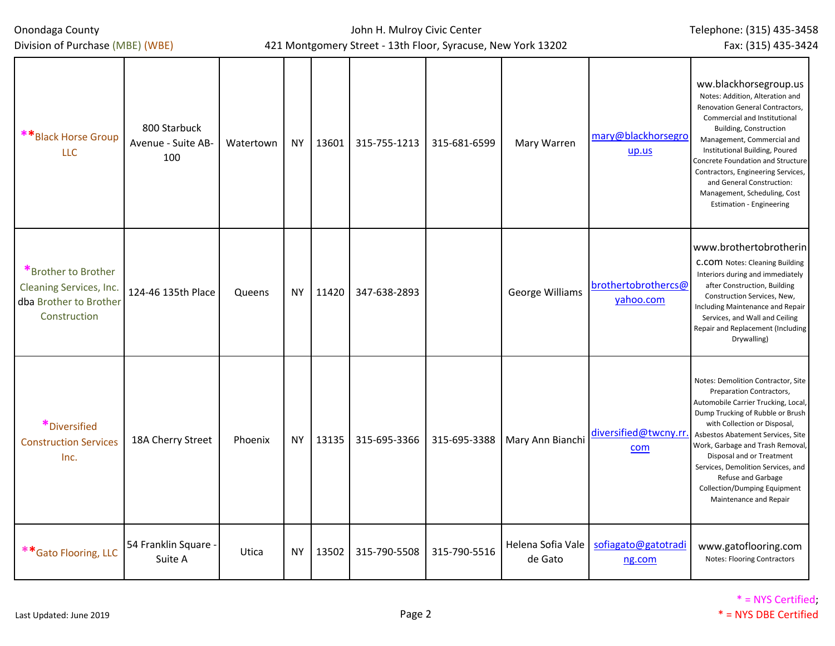| Division of Purchase (MBE) (WBE)<br>421 Montgomery Street - 13th Floor, Syracuse, New York 13202 |                                           |           |           |       |              |              |                              |                                  |                                                                                                                                                                                                                                                                                                                                                                                                                                    |  |
|--------------------------------------------------------------------------------------------------|-------------------------------------------|-----------|-----------|-------|--------------|--------------|------------------------------|----------------------------------|------------------------------------------------------------------------------------------------------------------------------------------------------------------------------------------------------------------------------------------------------------------------------------------------------------------------------------------------------------------------------------------------------------------------------------|--|
| ** Black Horse Group<br><b>LLC</b>                                                               | 800 Starbuck<br>Avenue - Suite AB-<br>100 | Watertown | <b>NY</b> | 13601 | 315-755-1213 | 315-681-6599 | Mary Warren                  | mary@blackhorsegro<br>up.us      | ww.blackhorsegroup.us<br>Notes: Addition, Alteration and<br>Renovation General Contractors,<br>Commercial and Institutional<br><b>Building, Construction</b><br>Management, Commercial and<br>Institutional Building, Poured<br>Concrete Foundation and Structure<br>Contractors, Engineering Services,<br>and General Construction:<br>Management, Scheduling, Cost<br><b>Estimation - Engineering</b>                            |  |
| *Brother to Brother<br>Cleaning Services, Inc.<br>dba Brother to Brother<br>Construction         | 124-46 135th Place                        | Queens    | <b>NY</b> | 11420 | 347-638-2893 |              | <b>George Williams</b>       | brothertobrothercs@<br>yahoo.com | www.brothertobrotherin<br>C.COM Notes: Cleaning Building<br>Interiors during and immediately<br>after Construction, Building<br>Construction Services, New,<br>Including Maintenance and Repair<br>Services, and Wall and Ceiling<br>Repair and Replacement (Including<br>Drywalling)                                                                                                                                              |  |
| *Diversified<br><b>Construction Services</b><br>Inc.                                             | 18A Cherry Street                         | Phoenix   | <b>NY</b> | 13135 | 315-695-3366 | 315-695-3388 | Mary Ann Bianchi             | com                              | Notes: Demolition Contractor, Site<br>Preparation Contractors,<br>Automobile Carrier Trucking, Local,<br>Dump Trucking of Rubble or Brush<br>with Collection or Disposal,<br>diversified@twcny.rr. Asbestos Abatement Services, Site<br>Work, Garbage and Trash Removal,<br>Disposal and or Treatment<br>Services, Demolition Services, and<br>Refuse and Garbage<br><b>Collection/Dumping Equipment</b><br>Maintenance and Repair |  |
| ** Gato Flooring, LLC                                                                            | 54 Franklin Square -<br>Suite A           | Utica     | <b>NY</b> | 13502 | 315-790-5508 | 315-790-5516 | Helena Sofia Vale<br>de Gato | sofiagato@gatotradi<br>ng.com    | www.gatoflooring.com<br><b>Notes: Flooring Contractors</b>                                                                                                                                                                                                                                                                                                                                                                         |  |

John H. Mulroy Civic Center

Telephone: (315) 435-3458

Onondaga County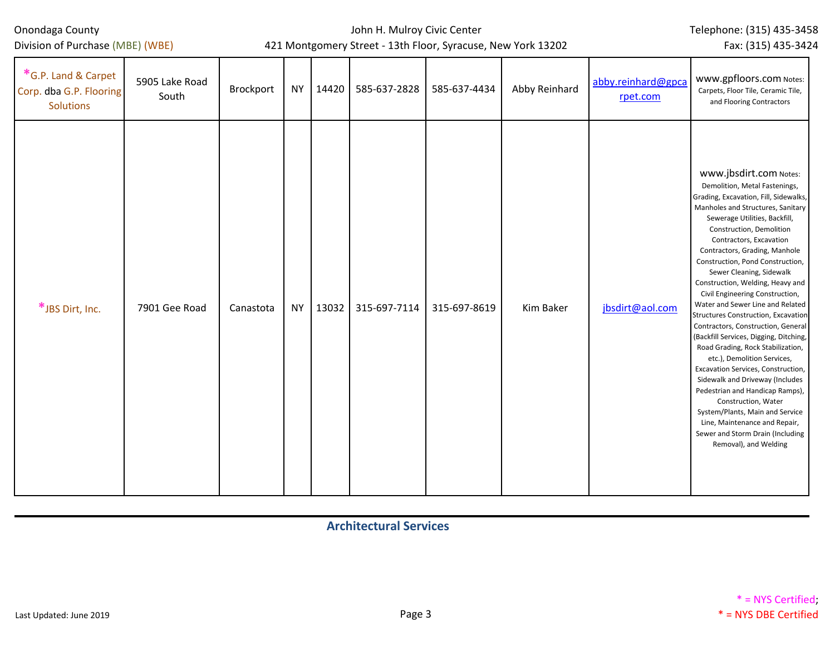| Onondaga County |  |
|-----------------|--|
|-----------------|--|

# John H. Mulroy Civic Center

Telephone: (315) 435-3458 Fax: (315) 435-3424

| *G.P. Land & Carpet<br>Corp. dba G.P. Flooring<br>Solutions | 5905 Lake Road<br>South | Brockport | <b>NY</b> | 14420 | 585-637-2828 | 585-637-4434 | Abby Reinhard | abby.reinhard@gpca<br>rpet.com | www.gpfloors.com Notes:<br>Carpets, Floor Tile, Ceramic Tile,<br>and Flooring Contractors                                                                                                                                                                                                                                                                                                                                                                                                                                                                                                                                                                                                                                                                                                                                                                                                                       |
|-------------------------------------------------------------|-------------------------|-----------|-----------|-------|--------------|--------------|---------------|--------------------------------|-----------------------------------------------------------------------------------------------------------------------------------------------------------------------------------------------------------------------------------------------------------------------------------------------------------------------------------------------------------------------------------------------------------------------------------------------------------------------------------------------------------------------------------------------------------------------------------------------------------------------------------------------------------------------------------------------------------------------------------------------------------------------------------------------------------------------------------------------------------------------------------------------------------------|
| *JBS Dirt, Inc.                                             | 7901 Gee Road           | Canastota | NY        | 13032 | 315-697-7114 | 315-697-8619 | Kim Baker     | jbsdirt@aol.com                | WWW.jbsdirt.com Notes:<br>Demolition, Metal Fastenings,<br>Grading, Excavation, Fill, Sidewalks,<br>Manholes and Structures, Sanitary<br>Sewerage Utilities, Backfill,<br>Construction, Demolition<br>Contractors, Excavation<br>Contractors, Grading, Manhole<br>Construction, Pond Construction,<br>Sewer Cleaning, Sidewalk<br>Construction, Welding, Heavy and<br>Civil Engineering Construction,<br>Water and Sewer Line and Related<br><b>Structures Construction, Excavation</b><br>Contractors, Construction, General<br>(Backfill Services, Digging, Ditching,<br>Road Grading, Rock Stabilization,<br>etc.), Demolition Services,<br>Excavation Services, Construction,<br>Sidewalk and Driveway (Includes<br>Pedestrian and Handicap Ramps),<br>Construction, Water<br>System/Plants, Main and Service<br>Line, Maintenance and Repair,<br>Sewer and Storm Drain (Including<br>Removal), and Welding |

**Architectural Services**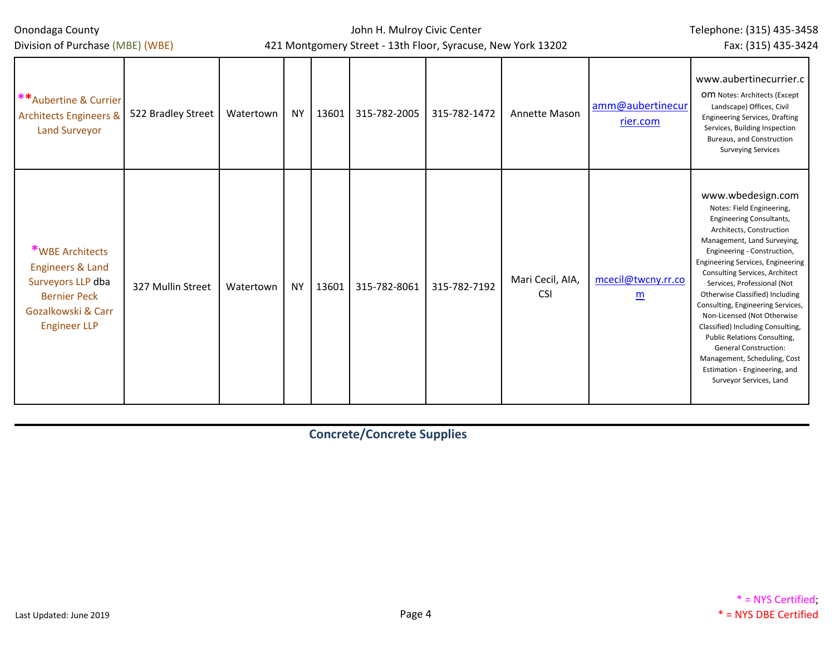| Onondaga County<br>Division of Purchase (MBE) (WBE)                                                                                                          |           |           |       | Telephone: (315) 435-3458<br>Fax: (315) 435-3424 |                                                                              |                                |                                       |                                                                                                                                                                                                                                                                                                                                                                                                                                                                                                                                                                                                         |
|--------------------------------------------------------------------------------------------------------------------------------------------------------------|-----------|-----------|-------|--------------------------------------------------|------------------------------------------------------------------------------|--------------------------------|---------------------------------------|---------------------------------------------------------------------------------------------------------------------------------------------------------------------------------------------------------------------------------------------------------------------------------------------------------------------------------------------------------------------------------------------------------------------------------------------------------------------------------------------------------------------------------------------------------------------------------------------------------|
| **Aubertine & Currier<br>522 Bradley Street<br><b>Architects Engineers &amp;</b><br><b>Land Surveyor</b>                                                     | Watertown | <b>NY</b> | 13601 | 315-782-2005                                     | 421 Montgomery Street - 13th Floor, Syracuse, New York 13202<br>315-782-1472 | Annette Mason                  | amm@aubertinecur<br>rier.com          | www.aubertinecurrier.c<br><b>OM Notes: Architects (Except</b><br>Landscape) Offices, Civil<br><b>Engineering Services, Drafting</b><br>Services, Building Inspection<br>Bureaus, and Construction<br><b>Surveying Services</b>                                                                                                                                                                                                                                                                                                                                                                          |
| *WBE Architects<br><b>Engineers &amp; Land</b><br>Surveyors LLP dba<br>327 Mullin Street<br><b>Bernier Peck</b><br>Gozalkowski & Carr<br><b>Engineer LLP</b> | Watertown | <b>NY</b> | 13601 | 315-782-8061                                     | 315-782-7192                                                                 | Mari Cecil, AIA,<br><b>CSI</b> | mcecil@twcny.rr.co<br>$\underline{m}$ | www.wbedesign.com<br>Notes: Field Engineering,<br><b>Engineering Consultants,</b><br>Architects, Construction<br>Management, Land Surveying,<br>Engineering - Construction,<br><b>Engineering Services, Engineering</b><br><b>Consulting Services, Architect</b><br>Services, Professional (Not<br>Otherwise Classified) Including<br>Consulting, Engineering Services,<br>Non-Licensed (Not Otherwise<br>Classified) Including Consulting,<br>Public Relations Consulting,<br><b>General Construction:</b><br>Management, Scheduling, Cost<br>Estimation - Engineering, and<br>Surveyor Services, Land |

**Concrete/Concrete Supplies**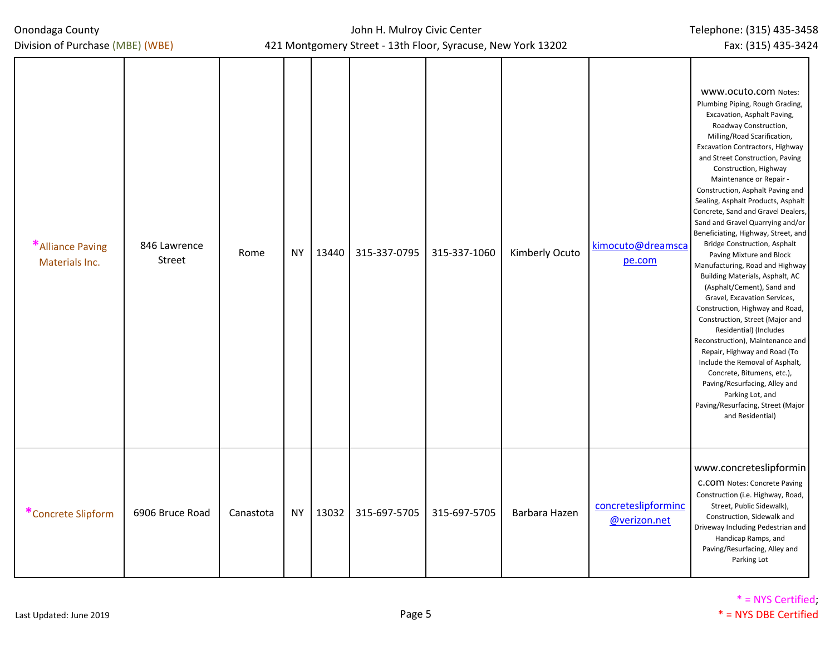| Onondaga County |  |
|-----------------|--|
|-----------------|--|

## John H. Mulroy Civic Center 421 Montgomery Street - 13th Floor, Syracuse, New York 13202

| *Alliance Paving<br>Materials Inc. | 846 Lawrence<br>Street | Rome      | <b>NY</b> | 13440 | 315-337-0795 | 315-337-1060 | Kimberly Ocuto | kimocuto@dreamsca<br>pe.com         | WWW.OCUTO.COM Notes:<br>Plumbing Piping, Rough Grading,<br>Excavation, Asphalt Paving,<br>Roadway Construction,<br>Milling/Road Scarification,<br>Excavation Contractors, Highway<br>and Street Construction, Paving<br>Construction, Highway<br>Maintenance or Repair -<br>Construction, Asphalt Paving and<br>Sealing, Asphalt Products, Asphalt<br>Concrete, Sand and Gravel Dealers,<br>Sand and Gravel Quarrying and/or<br>Beneficiating, Highway, Street, and<br>Bridge Construction, Asphalt<br>Paving Mixture and Block<br>Manufacturing, Road and Highway<br>Building Materials, Asphalt, AC<br>(Asphalt/Cement), Sand and<br>Gravel, Excavation Services,<br>Construction, Highway and Road,<br>Construction, Street (Major and<br>Residential) (Includes<br>Reconstruction), Maintenance and<br>Repair, Highway and Road (To<br>Include the Removal of Asphalt,<br>Concrete, Bitumens, etc.),<br>Paving/Resurfacing, Alley and<br>Parking Lot, and<br>Paving/Resurfacing, Street (Major<br>and Residential) |
|------------------------------------|------------------------|-----------|-----------|-------|--------------|--------------|----------------|-------------------------------------|------------------------------------------------------------------------------------------------------------------------------------------------------------------------------------------------------------------------------------------------------------------------------------------------------------------------------------------------------------------------------------------------------------------------------------------------------------------------------------------------------------------------------------------------------------------------------------------------------------------------------------------------------------------------------------------------------------------------------------------------------------------------------------------------------------------------------------------------------------------------------------------------------------------------------------------------------------------------------------------------------------------------|
| *Concrete Slipform                 | 6906 Bruce Road        | Canastota | <b>NY</b> | 13032 | 315-697-5705 | 315-697-5705 | Barbara Hazen  | concreteslipforminc<br>@verizon.net | www.concreteslipformin<br>C.COM Notes: Concrete Paving<br>Construction (i.e. Highway, Road,<br>Street, Public Sidewalk),<br>Construction, Sidewalk and<br>Driveway Including Pedestrian and<br>Handicap Ramps, and<br>Paving/Resurfacing, Alley and<br>Parking Lot                                                                                                                                                                                                                                                                                                                                                                                                                                                                                                                                                                                                                                                                                                                                                     |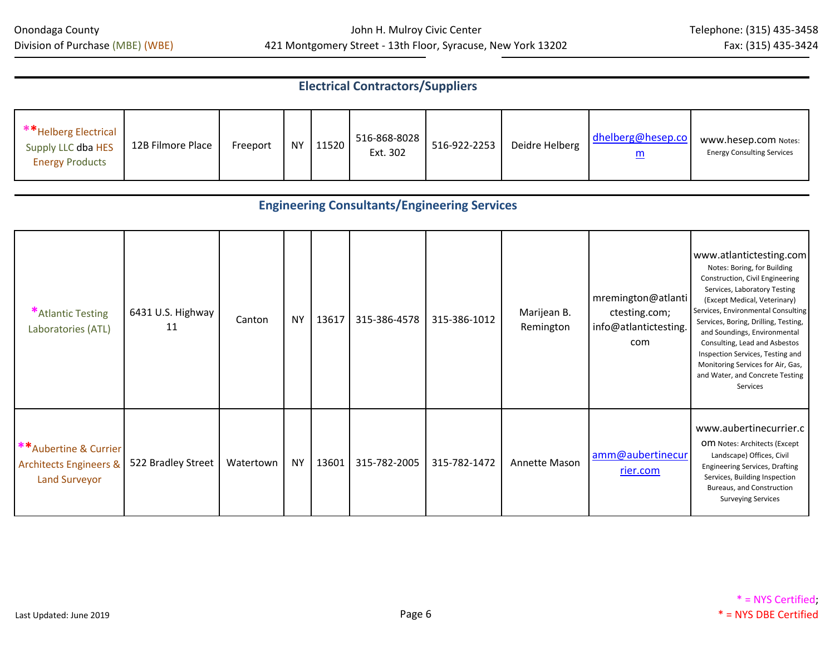# **Electrical Contractors/Suppliers**

| **Helberg Electrical<br>Supply LLC dba HES<br><b>Energy Products</b> | 12B Filmore Place | Freeport | <b>NY</b> | 11520 <sub>1</sub> | 516-868-8028<br>Ext. 302 | 516-922-2253 | Deidre Helberg | dhelberg@hesep.co<br>$\underline{\mathsf{m}}$ | www.hesep.com Notes:<br><b>Energy Consulting Services</b> |
|----------------------------------------------------------------------|-------------------|----------|-----------|--------------------|--------------------------|--------------|----------------|-----------------------------------------------|-----------------------------------------------------------|
|----------------------------------------------------------------------|-------------------|----------|-----------|--------------------|--------------------------|--------------|----------------|-----------------------------------------------|-----------------------------------------------------------|

## **Engineering Consultants/Engineering Services**

| *Atlantic Testing<br>Laboratories (ATL)                                      | 6431 U.S. Highway<br>11 | Canton    | <b>NY</b> | 13617 | 315-386-4578 | 315-386-1012 | Marijean B.<br>Remington | mremington@atlanti<br>ctesting.com;<br>info@atlantictesting.<br>com | www.atlantictesting.com<br>Notes: Boring, for Building<br>Construction, Civil Engineering<br>Services, Laboratory Testing<br>(Except Medical, Veterinary)<br>Services, Environmental Consulting<br>Services, Boring, Drilling, Testing,<br>and Soundings, Environmental<br>Consulting, Lead and Asbestos<br>Inspection Services, Testing and<br>Monitoring Services for Air, Gas,<br>and Water, and Concrete Testing<br>Services |
|------------------------------------------------------------------------------|-------------------------|-----------|-----------|-------|--------------|--------------|--------------------------|---------------------------------------------------------------------|----------------------------------------------------------------------------------------------------------------------------------------------------------------------------------------------------------------------------------------------------------------------------------------------------------------------------------------------------------------------------------------------------------------------------------|
| ** Aubertine & Currier<br><b>Architects Engineers &amp;</b><br>Land Surveyor | 522 Bradley Street      | Watertown | <b>NY</b> | 13601 | 315-782-2005 | 315-782-1472 | Annette Mason            | amm@aubertinecur<br>rier.com                                        | www.aubertinecurrier.c<br><b>OM Notes: Architects (Except</b><br>Landscape) Offices, Civil<br><b>Engineering Services, Drafting</b><br>Services, Building Inspection<br>Bureaus, and Construction<br><b>Surveying Services</b>                                                                                                                                                                                                   |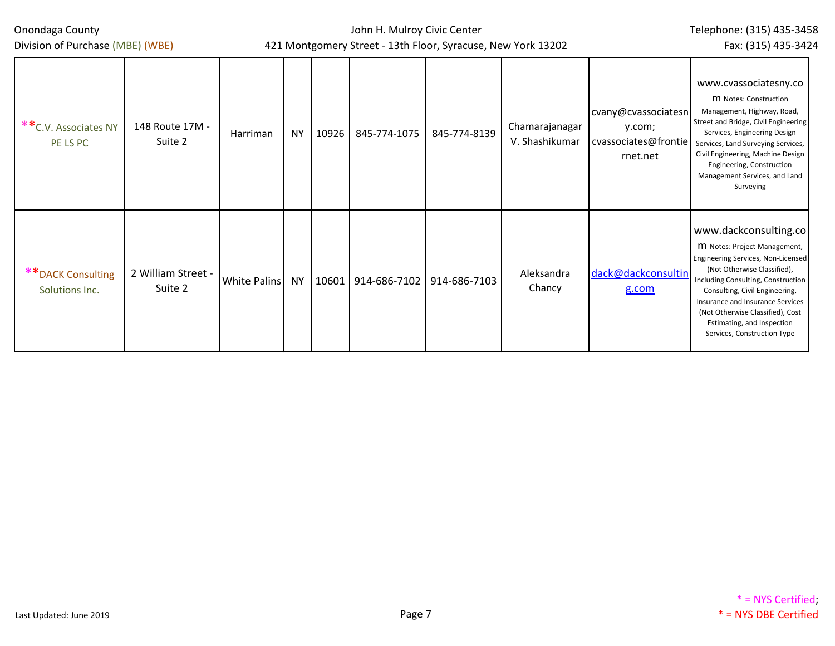| Onondaga County<br>Division of Purchase (MBE) (WBE) |                               |              |           |       | John H. Mulroy Civic Center<br>421 Montgomery Street - 13th Floor, Syracuse, New York 13202 | Telephone: (315) 435-3458<br>Fax: (315) 435-3424 |                                  |                                                                   |                                                                                                                                                                                                                                                                                                                                         |
|-----------------------------------------------------|-------------------------------|--------------|-----------|-------|---------------------------------------------------------------------------------------------|--------------------------------------------------|----------------------------------|-------------------------------------------------------------------|-----------------------------------------------------------------------------------------------------------------------------------------------------------------------------------------------------------------------------------------------------------------------------------------------------------------------------------------|
| **C.V. Associates NY<br>PE LS PC                    | 148 Route 17M -<br>Suite 2    | Harriman     | NY.       | 10926 | 845-774-1075                                                                                | 845-774-8139                                     | Chamarajanagar<br>V. Shashikumar | cvany@cvassociatesn<br>y.com;<br>cvassociates@frontie<br>rnet.net | www.cvassociatesny.co<br>m Notes: Construction<br>Management, Highway, Road,<br>Street and Bridge, Civil Engineering<br>Services, Engineering Design<br>Services, Land Surveying Services,<br>Civil Engineering, Machine Design<br>Engineering, Construction<br>Management Services, and Land<br>Surveying                              |
| ** DACK Consulting<br>Solutions Inc.                | 2 William Street -<br>Suite 2 | White Palins | <b>NY</b> | 10601 | 914-686-7102                                                                                | 914-686-7103                                     | Aleksandra<br>Chancy             | dack@dackconsultin<br>g.com                                       | www.dackconsulting.co<br>M Notes: Project Management,<br>Engineering Services, Non-Licensed<br>(Not Otherwise Classified),<br>Including Consulting, Construction<br>Consulting, Civil Engineering,<br>Insurance and Insurance Services<br>(Not Otherwise Classified), Cost<br>Estimating, and Inspection<br>Services, Construction Type |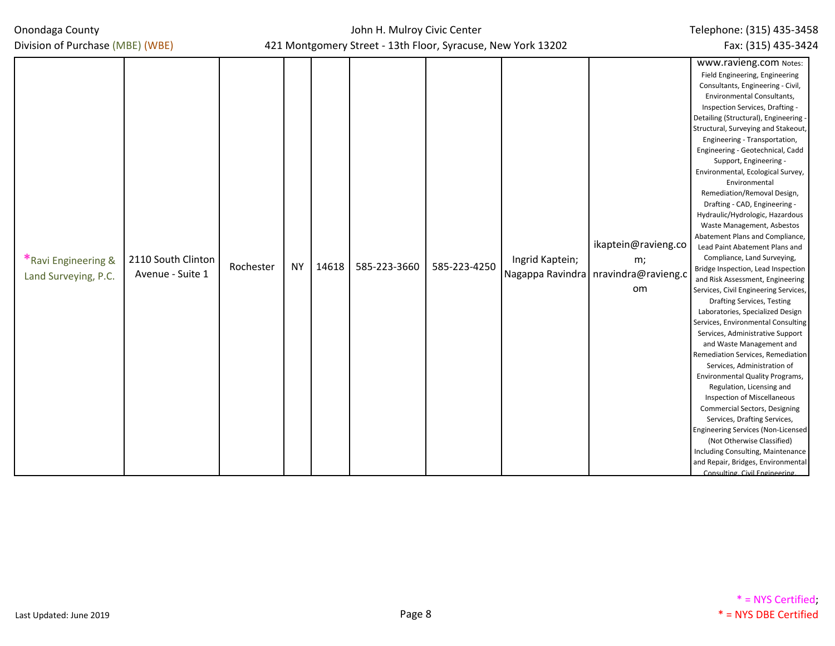| Onondaga County |  |
|-----------------|--|
|-----------------|--|

John H. Mulroy Civic Center 421 Montgomery Street - 13th Floor, Syracuse, New York 13202

| *Ravi Engineering &<br>Land Surveying, P.C. | 2110 South Clinton<br>Avenue - Suite 1 | Rochester | <b>NY</b> | 14618 | 585-223-3660 | 585-223-4250 | Ingrid Kaptein; | ikaptein@ravieng.co<br>m;<br>Nagappa Ravindra nravindra@ravieng.c<br>om | www.ravieng.com Notes:<br>Field Engineering, Engineering<br>Consultants, Engineering - Civil,<br>Environmental Consultants,<br>Inspection Services, Drafting -<br>Detailing (Structural), Engineering -<br>Structural, Surveying and Stakeout,<br>Engineering - Transportation,<br>Engineering - Geotechnical, Cadd<br>Support, Engineering -<br>Environmental, Ecological Survey,<br>Environmental<br>Remediation/Removal Design,<br>Drafting - CAD, Engineering -<br>Hydraulic/Hydrologic, Hazardous<br>Waste Management, Asbestos<br>Abatement Plans and Compliance,<br>Lead Paint Abatement Plans and<br>Compliance, Land Surveying,<br>Bridge Inspection, Lead Inspection<br>and Risk Assessment, Engineering<br>Services, Civil Engineering Services,<br><b>Drafting Services, Testing</b><br>Laboratories, Specialized Design<br>Services, Environmental Consulting<br>Services, Administrative Support<br>and Waste Management and<br>Remediation Services, Remediation<br>Services, Administration of<br>Environmental Quality Programs,<br>Regulation, Licensing and<br>Inspection of Miscellaneous |
|---------------------------------------------|----------------------------------------|-----------|-----------|-------|--------------|--------------|-----------------|-------------------------------------------------------------------------|---------------------------------------------------------------------------------------------------------------------------------------------------------------------------------------------------------------------------------------------------------------------------------------------------------------------------------------------------------------------------------------------------------------------------------------------------------------------------------------------------------------------------------------------------------------------------------------------------------------------------------------------------------------------------------------------------------------------------------------------------------------------------------------------------------------------------------------------------------------------------------------------------------------------------------------------------------------------------------------------------------------------------------------------------------------------------------------------------------------|
|                                             |                                        |           |           |       |              |              |                 |                                                                         |                                                                                                                                                                                                                                                                                                                                                                                                                                                                                                                                                                                                                                                                                                                                                                                                                                                                                                                                                                                                                                                                                                               |
|                                             |                                        |           |           |       |              |              |                 |                                                                         | <b>Commercial Sectors, Designing</b><br>Services, Drafting Services,<br><b>Engineering Services (Non-Licensed</b><br>(Not Otherwise Classified)<br>Including Consulting, Maintenance<br>and Repair, Bridges, Environmental                                                                                                                                                                                                                                                                                                                                                                                                                                                                                                                                                                                                                                                                                                                                                                                                                                                                                    |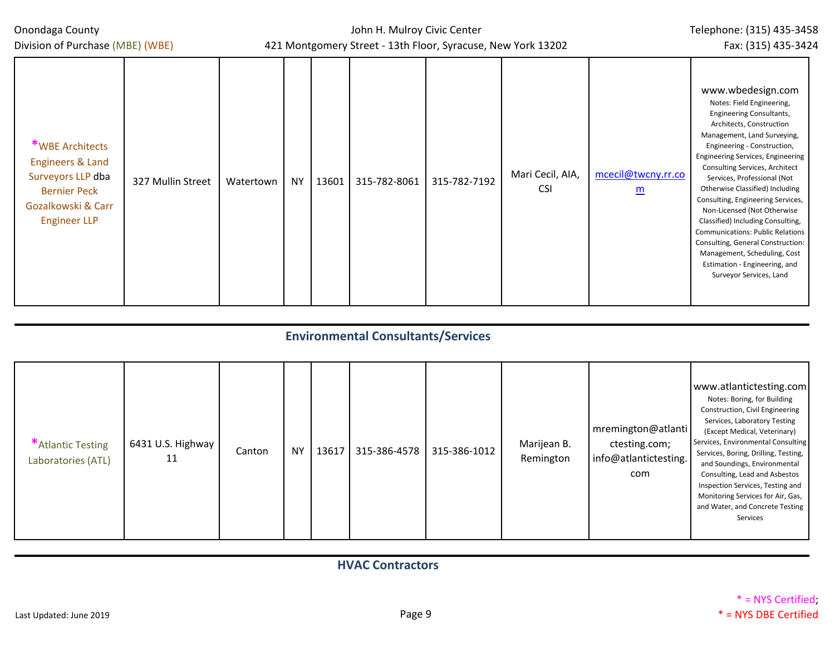| Onondaga County |  |
|-----------------|--|
|-----------------|--|

## **Environmental Consultants/Services**

| *Atlantic Testing<br>Laboratories (ATL) | 6431 U.S. Highway<br>11 | Canton | <b>NY</b> | 13617 | 315-386-4578 | 315-386-1012 | Marijean B.<br>Remington | mremington@atlanti<br>ctesting.com;<br>info@atlantictesting.<br>com | www.atlantictesting.com<br>Notes: Boring, for Building<br>Construction, Civil Engineering<br>Services, Laboratory Testing<br>(Except Medical, Veterinary)<br>Services, Environmental Consulting<br>Services, Boring, Drilling, Testing,<br>and Soundings, Environmental<br>Consulting, Lead and Asbestos<br>Inspection Services, Testing and<br>Monitoring Services for Air, Gas,<br>and Water, and Concrete Testing<br>Services |
|-----------------------------------------|-------------------------|--------|-----------|-------|--------------|--------------|--------------------------|---------------------------------------------------------------------|----------------------------------------------------------------------------------------------------------------------------------------------------------------------------------------------------------------------------------------------------------------------------------------------------------------------------------------------------------------------------------------------------------------------------------|
|-----------------------------------------|-------------------------|--------|-----------|-------|--------------|--------------|--------------------------|---------------------------------------------------------------------|----------------------------------------------------------------------------------------------------------------------------------------------------------------------------------------------------------------------------------------------------------------------------------------------------------------------------------------------------------------------------------------------------------------------------------|

## **HVAC Contractors**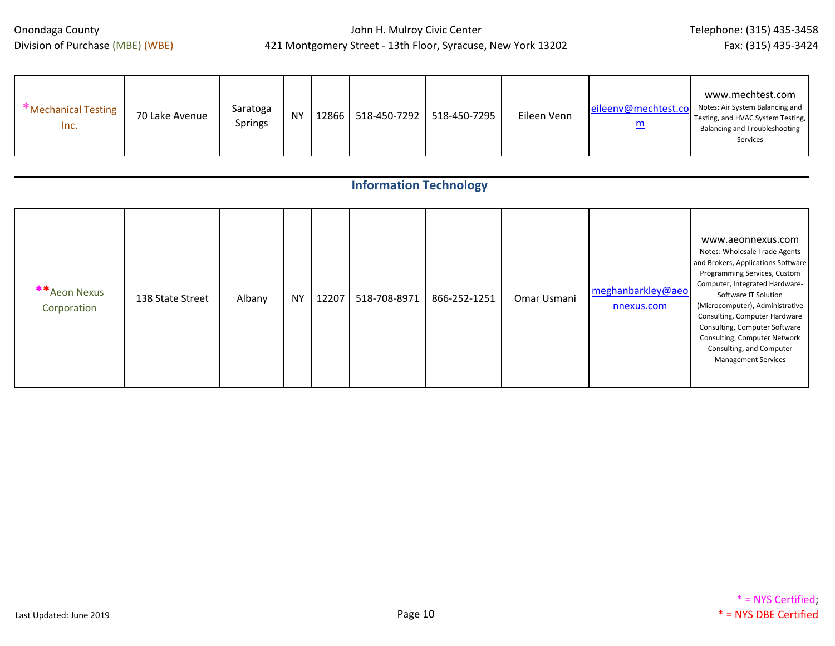| Onondaga County                  |
|----------------------------------|
| Division of Purchase (MBE) (WBE) |

## John H. Mulroy Civic Center 421 Montgomery Street - 13th Floor, Syracuse, New York 13202

| *Mechanical Testing<br>Inc. | 70 Lake Avenue | Saratoga<br>Springs | <b>NY</b> |  | 12866 518-450-7292 | 518-450-7295 | Eileen Venn | eileenv@mechtest.co<br><u>m</u> | www.mechtest.com<br>Notes: Air System Balancing and<br>Testing, and HVAC System Testing,<br>Balancing and Troubleshooting<br>Services |
|-----------------------------|----------------|---------------------|-----------|--|--------------------|--------------|-------------|---------------------------------|---------------------------------------------------------------------------------------------------------------------------------------|
|-----------------------------|----------------|---------------------|-----------|--|--------------------|--------------|-------------|---------------------------------|---------------------------------------------------------------------------------------------------------------------------------------|

## **Information Technology**

| **Aeon Nexus<br>Corporation | 138 State Street | Albany | <b>NY</b> | 12207 | 518-708-8971 | 866-252-1251 | Omar Usmani | meghanbarkley@aeo<br>nnexus.com | www.aeonnexus.com<br>Notes: Wholesale Trade Agents<br>and Brokers, Applications Software<br>Programming Services, Custom<br>Computer, Integrated Hardware-<br>Software IT Solution<br>(Microcomputer), Administrative<br>Consulting, Computer Hardware<br>Consulting, Computer Software<br>Consulting, Computer Network<br>Consulting, and Computer<br><b>Management Services</b> |
|-----------------------------|------------------|--------|-----------|-------|--------------|--------------|-------------|---------------------------------|-----------------------------------------------------------------------------------------------------------------------------------------------------------------------------------------------------------------------------------------------------------------------------------------------------------------------------------------------------------------------------------|
|-----------------------------|------------------|--------|-----------|-------|--------------|--------------|-------------|---------------------------------|-----------------------------------------------------------------------------------------------------------------------------------------------------------------------------------------------------------------------------------------------------------------------------------------------------------------------------------------------------------------------------------|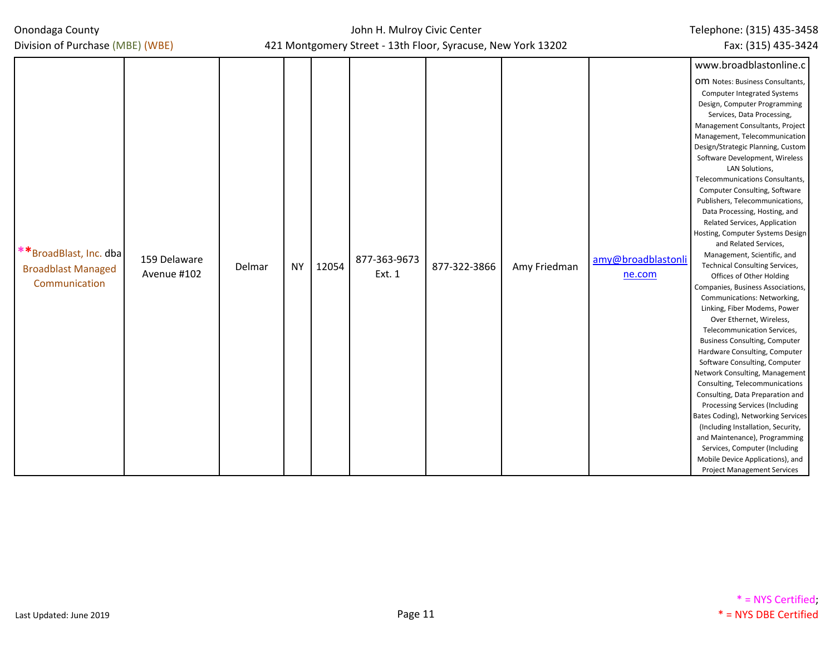| Onondaga County |  |
|-----------------|--|
|-----------------|--|

## John H. Mulroy Civic Center 421 Montgomery Street - 13th Floor, Syracuse, New York 13202

|                           |              |        |           |       |              |              |              |                              | www.broadblastonline.c                |
|---------------------------|--------------|--------|-----------|-------|--------------|--------------|--------------|------------------------------|---------------------------------------|
|                           |              |        |           |       |              |              |              |                              | OM Notes: Business Consultants,       |
|                           |              |        |           |       |              |              |              |                              | <b>Computer Integrated Systems</b>    |
|                           |              |        |           |       |              |              |              |                              | Design, Computer Programming          |
|                           |              |        |           |       |              |              |              |                              | Services, Data Processing,            |
|                           |              |        |           |       |              |              |              |                              | Management Consultants, Project       |
|                           |              |        |           |       |              |              |              |                              | Management, Telecommunication         |
|                           |              |        |           |       |              |              |              |                              | Design/Strategic Planning, Custom     |
|                           |              |        |           |       |              |              |              |                              | Software Development, Wireless        |
|                           |              |        |           |       |              |              |              |                              | LAN Solutions,                        |
|                           |              |        |           |       |              |              |              |                              | Telecommunications Consultants,       |
|                           |              |        |           |       |              |              |              |                              | Computer Consulting, Software         |
|                           |              |        |           |       |              |              |              |                              | Publishers, Telecommunications,       |
|                           |              |        |           |       |              |              | Amy Friedman | amy@broadblastonli<br>ne.com | Data Processing, Hosting, and         |
|                           |              |        |           |       |              |              |              |                              | Related Services, Application         |
|                           | 159 Delaware |        |           |       |              | 877-322-3866 |              |                              | Hosting, Computer Systems Design      |
|                           |              | Delmar |           |       | 877-363-9673 |              |              |                              | and Related Services,                 |
| **BroadBlast, Inc. dba    |              |        |           |       |              |              |              |                              | Management, Scientific, and           |
| <b>Broadblast Managed</b> |              |        | <b>NY</b> | 12054 |              |              |              |                              | <b>Technical Consulting Services,</b> |
|                           | Avenue #102  |        |           |       | Ext. 1       |              |              |                              | Offices of Other Holding              |
| Communication             |              |        |           |       |              |              |              |                              | Companies, Business Associations,     |
|                           |              |        |           |       |              |              |              |                              | Communications: Networking,           |
|                           |              |        |           |       |              |              |              |                              | Linking, Fiber Modems, Power          |
|                           |              |        |           |       |              |              |              |                              | Over Ethernet, Wireless,              |
|                           |              |        |           |       |              |              |              |                              | Telecommunication Services,           |
|                           |              |        |           |       |              |              |              |                              | <b>Business Consulting, Computer</b>  |
|                           |              |        |           |       |              |              |              |                              | Hardware Consulting, Computer         |
|                           |              |        |           |       |              |              |              |                              | Software Consulting, Computer         |
|                           |              |        |           |       |              |              |              |                              | Network Consulting, Management        |
|                           |              |        |           |       |              |              |              |                              | Consulting, Telecommunications        |
|                           |              |        |           |       |              |              |              |                              | Consulting, Data Preparation and      |
|                           |              |        |           |       |              |              |              |                              | Processing Services (Including        |
|                           |              |        |           |       |              |              |              |                              | Bates Coding), Networking Services    |
|                           |              |        |           |       |              |              |              |                              | (Including Installation, Security,    |
|                           |              |        |           |       |              |              |              |                              | and Maintenance), Programming         |
|                           |              |        |           |       |              |              |              |                              | Services, Computer (Including         |
|                           |              |        |           |       |              |              |              |                              | Mobile Device Applications), and      |
|                           |              |        |           |       |              |              |              |                              | <b>Project Management Services</b>    |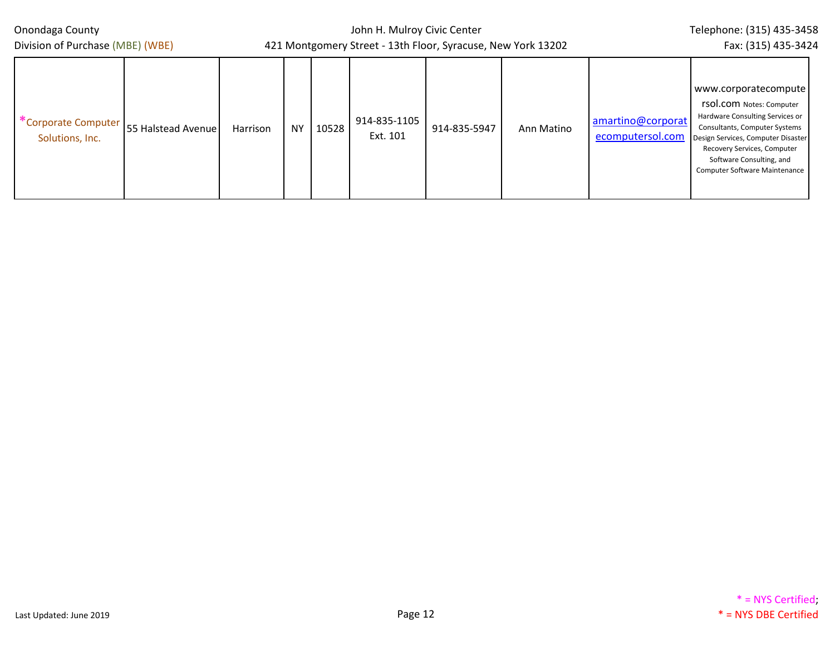| Onondaga County |
|-----------------|
|-----------------|

#### John H. Mulroy Civic Center 421 Montgomery Street - 13th Floor, Syracuse, New York 13202

Telephone: (315) 435-3458

Fax: (315) 435-3424

| Division of Purchase (MBE) (WBE)                     |                    |          | 421 Montgomery Street - 13th Floor, Syracuse, New York 13202 |       |                          |              |            |                                       | Fax: (315) 435-342                                                                                                                                                                                                                                     |
|------------------------------------------------------|--------------------|----------|--------------------------------------------------------------|-------|--------------------------|--------------|------------|---------------------------------------|--------------------------------------------------------------------------------------------------------------------------------------------------------------------------------------------------------------------------------------------------------|
| <sup>*</sup> Corporate Computer  <br>Solutions, Inc. | 55 Halstead Avenue | Harrison | <b>NY</b>                                                    | 10528 | 914-835-1105<br>Ext. 101 | 914-835-5947 | Ann Matino | amartino@corporat<br>ecomputersol.com | www.corporatecompute<br>rsol.com Notes: Computer<br>Hardware Consulting Services or<br>Consultants, Computer Systems<br>Design Services, Computer Disaster<br>Recovery Services, Computer<br>Software Consulting, and<br>Computer Software Maintenance |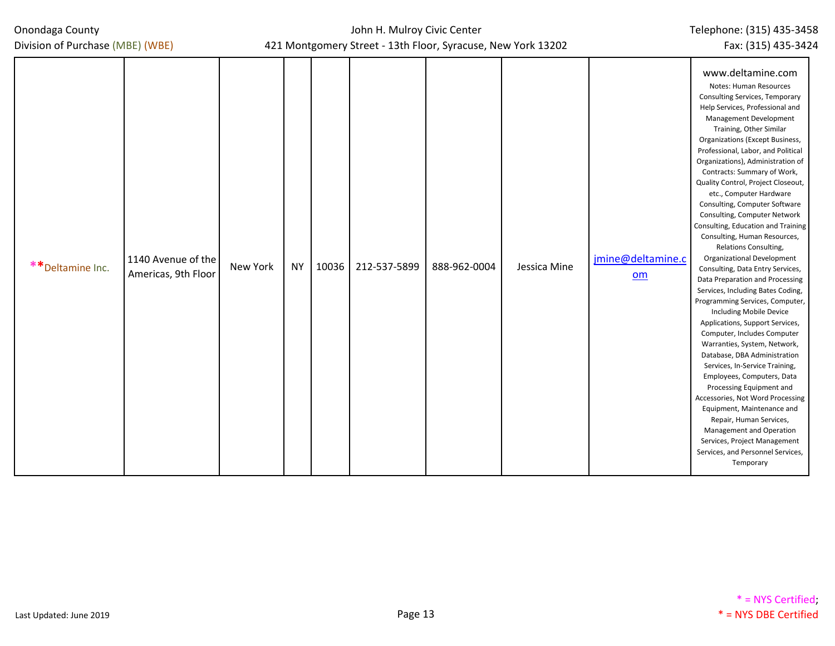| Onondaga County |  |
|-----------------|--|
|-----------------|--|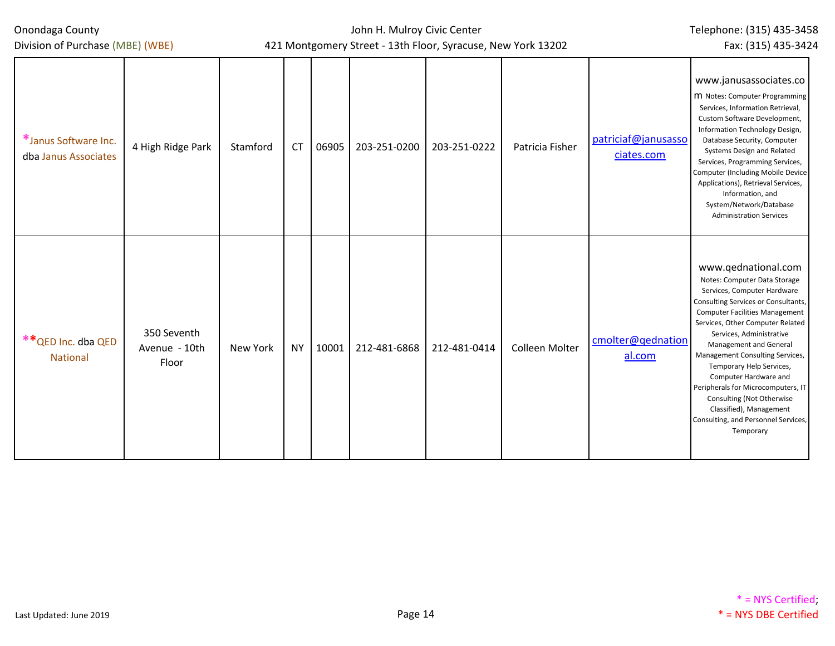| Onondaga County |  |
|-----------------|--|
|-----------------|--|

## John H. Mulroy Civic Center 421 Montgomery Street - 13th Floor, Syracuse, New York 13202

Telephone: (315) 435-3458 Fax: (315) 435-3424

| *Janus Software Inc.<br>dba Janus Associates | 4 High Ridge Park                     | Stamford | <b>CT</b> | 06905 | 203-251-0200 | 203-251-0222 | Patricia Fisher | patriciaf@janusasso<br>ciates.com | www.janusassociates.co<br>M Notes: Computer Programming<br>Services, Information Retrieval,<br>Custom Software Development,<br>Information Technology Design,<br>Database Security, Computer<br>Systems Design and Related<br>Services, Programming Services,<br><b>Computer (Including Mobile Device)</b><br>Applications), Retrieval Services,<br>Information, and<br>System/Network/Database<br><b>Administration Services</b>                                                                      |
|----------------------------------------------|---------------------------------------|----------|-----------|-------|--------------|--------------|-----------------|-----------------------------------|--------------------------------------------------------------------------------------------------------------------------------------------------------------------------------------------------------------------------------------------------------------------------------------------------------------------------------------------------------------------------------------------------------------------------------------------------------------------------------------------------------|
| ** QED Inc. dba QED<br><b>National</b>       | 350 Seventh<br>Avenue - 10th<br>Floor | New York | <b>NY</b> | 10001 | 212-481-6868 | 212-481-0414 | Colleen Molter  | cmolter@gednation<br>al.com       | www.qednational.com<br>Notes: Computer Data Storage<br>Services, Computer Hardware<br>Consulting Services or Consultants,<br><b>Computer Facilities Management</b><br>Services, Other Computer Related<br>Services, Administrative<br>Management and General<br>Management Consulting Services,<br>Temporary Help Services,<br>Computer Hardware and<br>Peripherals for Microcomputers, IT<br>Consulting (Not Otherwise<br>Classified), Management<br>Consulting, and Personnel Services,<br>Temporary |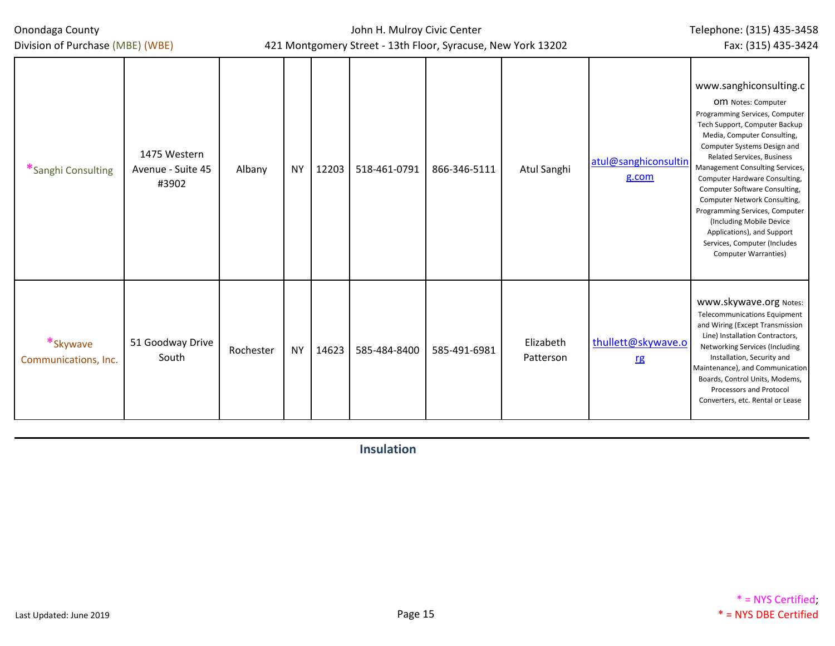Division of Purchase (MBE) (WBE)

| *Sanghi Consulting               | 1475 Western<br>Avenue - Suite 45<br>#3902 | Albany    | <b>NY</b> | 12203 | 518-461-0791 | 866-346-5111 | Atul Sanghi            | atul@sanghiconsultin<br>g.com   | www.sanghiconsulting.c<br>OM Notes: Computer<br>Programming Services, Computer<br>Tech Support, Computer Backup<br>Media, Computer Consulting,<br>Computer Systems Design and<br>Related Services, Business<br>Management Consulting Services,<br>Computer Hardware Consulting,<br>Computer Software Consulting,<br>Computer Network Consulting,<br>Programming Services, Computer<br>(Including Mobile Device<br>Applications), and Support<br>Services, Computer (Includes<br><b>Computer Warranties)</b> |
|----------------------------------|--------------------------------------------|-----------|-----------|-------|--------------|--------------|------------------------|---------------------------------|-------------------------------------------------------------------------------------------------------------------------------------------------------------------------------------------------------------------------------------------------------------------------------------------------------------------------------------------------------------------------------------------------------------------------------------------------------------------------------------------------------------|
| *Skywave<br>Communications, Inc. | 51 Goodway Drive<br>South                  | Rochester | <b>NY</b> | 14623 | 585-484-8400 | 585-491-6981 | Elizabeth<br>Patterson | thullett@skywave.o<br><u>rg</u> | www.skywave.org Notes:<br><b>Telecommunications Equipment</b><br>and Wiring (Except Transmission<br>Line) Installation Contractors,<br>Networking Services (Including<br>Installation, Security and<br>Maintenance), and Communication<br>Boards, Control Units, Modems,<br>Processors and Protocol<br>Converters, etc. Rental or Lease                                                                                                                                                                     |

**Insulation**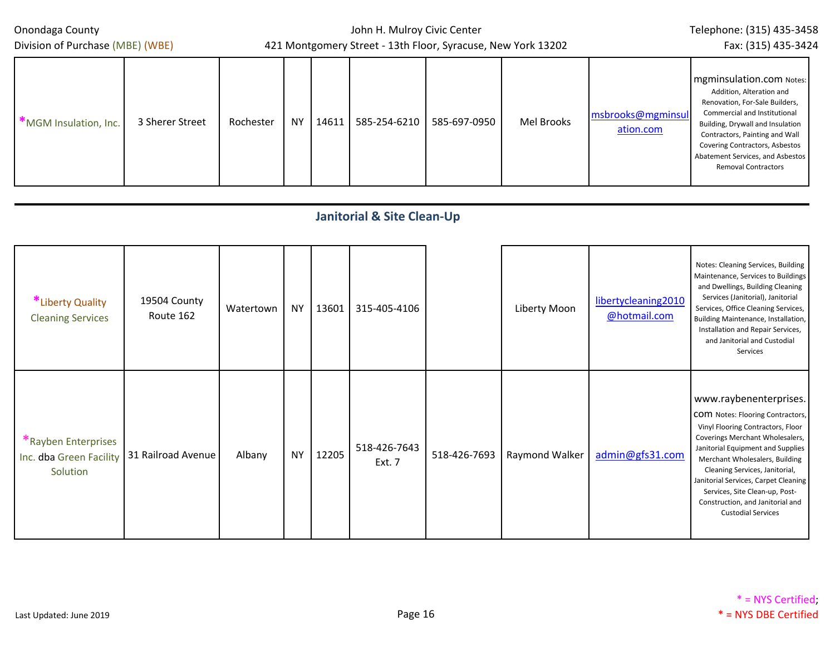| Onondaga County |  |
|-----------------|--|
|-----------------|--|

John H. Mulroy Civic Center 421 Montgomery Street - 13th Floor, Syracuse, New York 13202 Telephone: (315) 435-3458 Fax: (315) 435-3424

| <b>*MGM Insulation, Inc.</b> | 3 Sherer Street | Rochester | <b>NY</b> | 14611 | 585-254-6210 | 585-697-0950 | Mel Brooks | msbrooks@mgminsul<br>ation.com | mgminsulation.com Notes:<br>Addition, Alteration and<br>Renovation, For-Sale Builders,<br>Commercial and Institutional<br>Building, Drywall and Insulation<br>Contractors, Painting and Wall<br>Covering Contractors, Asbestos<br>Abatement Services, and Asbestos<br><b>Removal Contractors</b> |
|------------------------------|-----------------|-----------|-----------|-------|--------------|--------------|------------|--------------------------------|--------------------------------------------------------------------------------------------------------------------------------------------------------------------------------------------------------------------------------------------------------------------------------------------------|
|------------------------------|-----------------|-----------|-----------|-------|--------------|--------------|------------|--------------------------------|--------------------------------------------------------------------------------------------------------------------------------------------------------------------------------------------------------------------------------------------------------------------------------------------------|

## **Janitorial & Site Clean-Up**

| *Liberty Quality<br><b>Cleaning Services</b>               | 19504 County<br>Route 162 | Watertown | <b>NY</b> | 13601 | 315-405-4106           |              | Liberty Moon   | libertycleaning2010<br>@hotmail.com | Notes: Cleaning Services, Building<br>Maintenance, Services to Buildings<br>and Dwellings, Building Cleaning<br>Services (Janitorial), Janitorial<br>Services, Office Cleaning Services,<br>Building Maintenance, Installation,<br>Installation and Repair Services,<br>and Janitorial and Custodial<br>Services                                                                       |
|------------------------------------------------------------|---------------------------|-----------|-----------|-------|------------------------|--------------|----------------|-------------------------------------|----------------------------------------------------------------------------------------------------------------------------------------------------------------------------------------------------------------------------------------------------------------------------------------------------------------------------------------------------------------------------------------|
| *Rayben Enterprises<br>Inc. dba Green Facility<br>Solution | 31 Railroad Avenue        | Albany    | <b>NY</b> | 12205 | 518-426-7643<br>Ext. 7 | 518-426-7693 | Raymond Walker | admin@gfs31.com                     | www.raybenenterprises.<br>COM Notes: Flooring Contractors,<br>Vinyl Flooring Contractors, Floor<br>Coverings Merchant Wholesalers,<br>Janitorial Equipment and Supplies<br>Merchant Wholesalers, Building<br>Cleaning Services, Janitorial,<br>Janitorial Services, Carpet Cleaning<br>Services, Site Clean-up, Post-<br>Construction, and Janitorial and<br><b>Custodial Services</b> |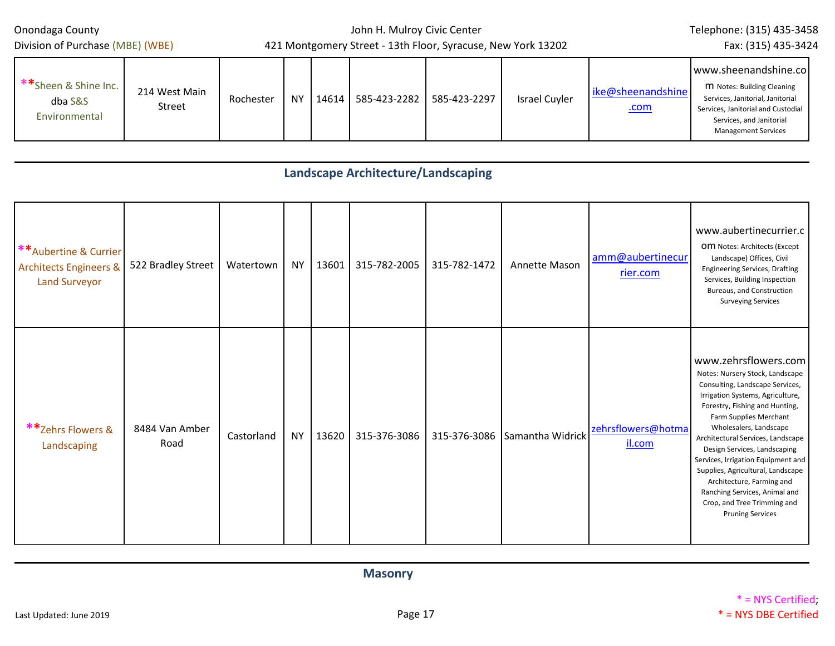| Onondaga County |  |
|-----------------|--|
|-----------------|--|

John H. Mulroy Civic Center 421 Montgomery Street - 13th Floor, Syracuse, New York 13202 Telephone: (315) 435-3458

|  |  | Fax: (315) 435-3424 |
|--|--|---------------------|

|                          |               |           |           |                    |              |                      |                   | www.sheenandshine.col                                                 |
|--------------------------|---------------|-----------|-----------|--------------------|--------------|----------------------|-------------------|-----------------------------------------------------------------------|
| **Sheen & Shine Inc. I   | 214 West Main | Rochester | <b>NY</b> | 14614 585-423-2282 | 585-423-2297 | <b>Israel Cuyler</b> | ike@sheenandshine | <b>M</b> Notes: Building Cleaning<br>Services, Janitorial, Janitorial |
| dba S&S<br>Environmental | Street        |           |           |                    |              |                      | .com              | Services, Janitorial and Custodial<br>Services, and Janitorial        |
|                          |               |           |           |                    |              |                      |                   | <b>Management Services</b>                                            |

|                                                                                    |                        |            |           |       | <b>Landscape Architecture/Landscaping</b> |              |                      |                              |                                                                                                                                                                                                                                                                                                                                                                                                                                                                                              |
|------------------------------------------------------------------------------------|------------------------|------------|-----------|-------|-------------------------------------------|--------------|----------------------|------------------------------|----------------------------------------------------------------------------------------------------------------------------------------------------------------------------------------------------------------------------------------------------------------------------------------------------------------------------------------------------------------------------------------------------------------------------------------------------------------------------------------------|
| **Aubertine & Currier<br><b>Architects Engineers &amp;</b><br><b>Land Surveyor</b> | 522 Bradley Street     | Watertown  | <b>NY</b> | 13601 | 315-782-2005                              | 315-782-1472 | <b>Annette Mason</b> | amm@aubertinecur<br>rier.com | www.aubertinecurrier.c<br><b>OM Notes: Architects (Except</b><br>Landscape) Offices, Civil<br><b>Engineering Services, Drafting</b><br>Services, Building Inspection<br>Bureaus, and Construction<br><b>Surveying Services</b>                                                                                                                                                                                                                                                               |
| **Zehrs Flowers &<br>Landscaping                                                   | 8484 Van Amber<br>Road | Castorland | <b>NY</b> | 13620 | 315-376-3086                              | 315-376-3086 | Samantha Widrick     | zehrsflowers@hotma<br>il.com | www.zehrsflowers.com<br>Notes: Nursery Stock, Landscape<br>Consulting, Landscape Services,<br>Irrigation Systems, Agriculture,<br>Forestry, Fishing and Hunting,<br>Farm Supplies Merchant<br>Wholesalers, Landscape<br>Architectural Services, Landscape<br>Design Services, Landscaping<br>Services, Irrigation Equipment and<br>Supplies, Agricultural, Landscape<br>Architecture, Farming and<br>Ranching Services, Animal and<br>Crop, and Tree Trimming and<br><b>Pruning Services</b> |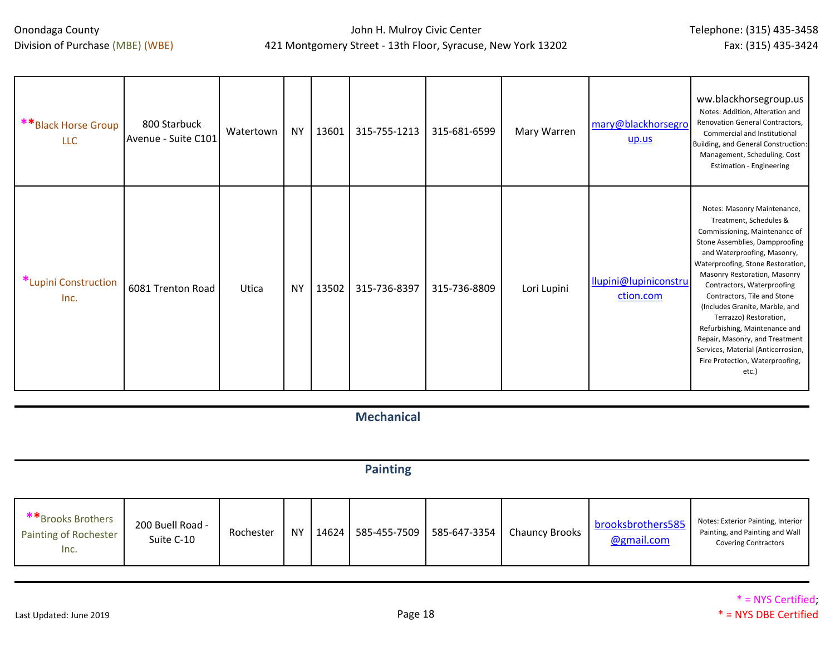## John H. Mulroy Civic Center 421 Montgomery Street - 13th Floor, Syracuse, New York 13202

| ** Black Horse Group<br><b>LLC</b> | 800 Starbuck<br>Avenue - Suite C101 | Watertown | NY        | 13601 | 315-755-1213 | 315-681-6599 | Mary Warren | mary@blackhorsegro<br>up.us        | ww.blackhorsegroup.us<br>Notes: Addition, Alteration and<br>Renovation General Contractors,<br>Commercial and Institutional<br>Building, and General Construction:<br>Management, Scheduling, Cost<br><b>Estimation - Engineering</b>                                                                                                                                                                                                                                                                      |
|------------------------------------|-------------------------------------|-----------|-----------|-------|--------------|--------------|-------------|------------------------------------|------------------------------------------------------------------------------------------------------------------------------------------------------------------------------------------------------------------------------------------------------------------------------------------------------------------------------------------------------------------------------------------------------------------------------------------------------------------------------------------------------------|
| *Lupini Construction<br>Inc.       | 6081 Trenton Road                   | Utica     | <b>NY</b> | 13502 | 315-736-8397 | 315-736-8809 | Lori Lupini | llupini@lupiniconstru<br>ction.com | Notes: Masonry Maintenance,<br>Treatment, Schedules &<br>Commissioning, Maintenance of<br>Stone Assemblies, Dampproofing<br>and Waterproofing, Masonry,<br>Waterproofing, Stone Restoration,<br>Masonry Restoration, Masonry<br>Contractors, Waterproofing<br>Contractors, Tile and Stone<br>(Includes Granite, Marble, and<br>Terrazzo) Restoration,<br>Refurbishing, Maintenance and<br>Repair, Masonry, and Treatment<br>Services, Material (Anticorrosion,<br>Fire Protection, Waterproofing,<br>etc.) |

## **Mechanical**

|                                                     |                                |           |           |       | <b>Painting</b> |              |                       |                                 |                                                                                                      |
|-----------------------------------------------------|--------------------------------|-----------|-----------|-------|-----------------|--------------|-----------------------|---------------------------------|------------------------------------------------------------------------------------------------------|
| ** Brooks Brothers<br>Painting of Rochester<br>Inc. | 200 Buell Road -<br>Suite C-10 | Rochester | <b>NY</b> | 14624 | 585-455-7509    | 585-647-3354 | <b>Chauncy Brooks</b> | brooksbrothers585<br>@gmail.com | Notes: Exterior Painting, Interior<br>Painting, and Painting and Wall<br><b>Covering Contractors</b> |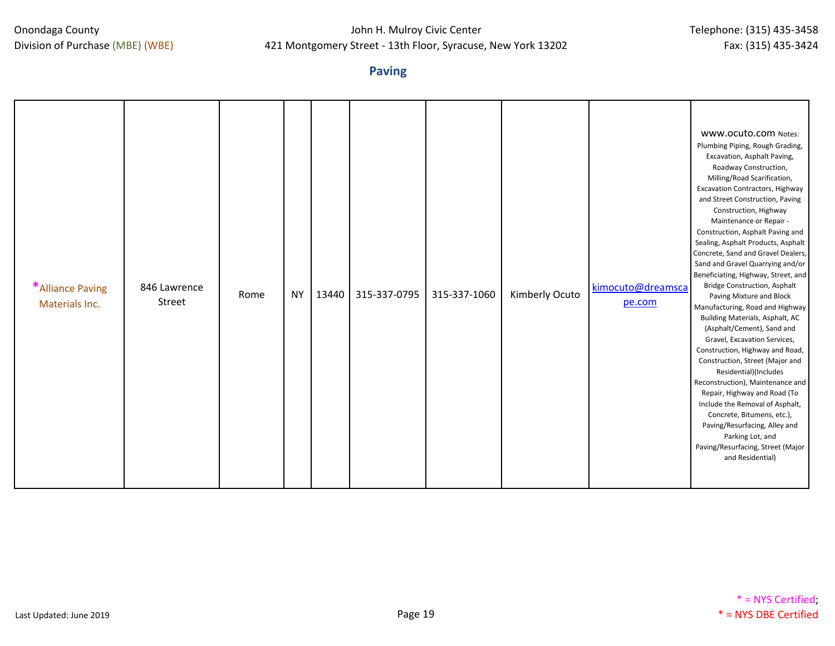John H. Mulroy Civic Center 421 Montgomery Street - 13th Floor, Syracuse, New York 13202

## **Paving**

| *Alliance Paving<br>Materials Inc. | 846 Lawrence<br>Street | Rome | <b>NY</b> | 13440 | 315-337-0795 | 315-337-1060 | Kimberly Ocuto | kimocuto@dreamsca<br>pe.com | WWW.OCUtO.COM Notes:<br>Plumbing Piping, Rough Grading,<br>Excavation, Asphalt Paving,<br>Roadway Construction,<br>Milling/Road Scarification,<br><b>Excavation Contractors, Highway</b><br>and Street Construction, Paving<br>Construction, Highway<br>Maintenance or Repair -<br>Construction, Asphalt Paving and<br>Sealing, Asphalt Products, Asphalt<br>Concrete, Sand and Gravel Dealers,<br>Sand and Gravel Quarrying and/or<br>Beneficiating, Highway, Street, and<br>Bridge Construction, Asphalt<br>Paving Mixture and Block<br>Manufacturing, Road and Highway<br>Building Materials, Asphalt, AC<br>(Asphalt/Cement), Sand and<br>Gravel, Excavation Services,<br>Construction, Highway and Road,<br>Construction, Street (Major and<br>Residential)(Includes<br>Reconstruction), Maintenance and<br>Repair, Highway and Road (To<br>Include the Removal of Asphalt,<br>Concrete, Bitumens, etc.),<br>Paving/Resurfacing, Alley and<br>Parking Lot, and<br>Paving/Resurfacing, Street (Major<br>and Residential) |
|------------------------------------|------------------------|------|-----------|-------|--------------|--------------|----------------|-----------------------------|------------------------------------------------------------------------------------------------------------------------------------------------------------------------------------------------------------------------------------------------------------------------------------------------------------------------------------------------------------------------------------------------------------------------------------------------------------------------------------------------------------------------------------------------------------------------------------------------------------------------------------------------------------------------------------------------------------------------------------------------------------------------------------------------------------------------------------------------------------------------------------------------------------------------------------------------------------------------------------------------------------------------------|
|------------------------------------|------------------------|------|-----------|-------|--------------|--------------|----------------|-----------------------------|------------------------------------------------------------------------------------------------------------------------------------------------------------------------------------------------------------------------------------------------------------------------------------------------------------------------------------------------------------------------------------------------------------------------------------------------------------------------------------------------------------------------------------------------------------------------------------------------------------------------------------------------------------------------------------------------------------------------------------------------------------------------------------------------------------------------------------------------------------------------------------------------------------------------------------------------------------------------------------------------------------------------------|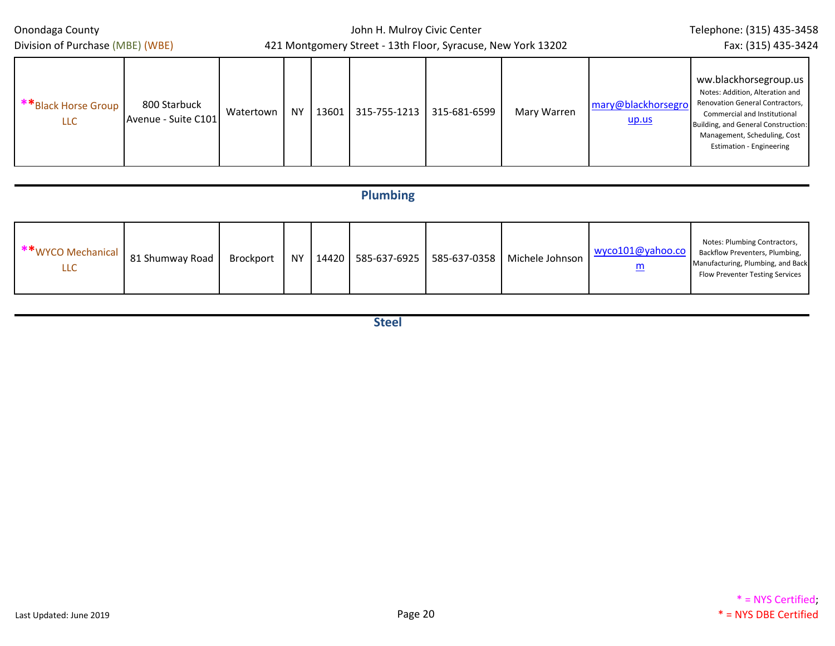| Onondaga County |
|-----------------|
|-----------------|

John H. Mulroy Civic Center 421 Montgomery Street - 13th Floor, Syracuse, New York 13202 Telephone: (315) 435-3458

Fax: (315) 435-3424

| ** Black Horse Group<br><b>LLC</b> | 800 Starbuck<br>Avenue - Suite C101 | Watertown | <b>NY</b> |  | 13601 315-755-1213 | 315-681-6599 | Mary Warren | mary@blackhorsegro<br><u>up.us</u> | ww.blackhorsegroup.us  <br>Notes: Addition, Alteration and<br>Renovation General Contractors,<br>Commercial and Institutional<br>Building, and General Construction:<br>Management, Scheduling, Cost<br><b>Estimation - Engineering</b> |
|------------------------------------|-------------------------------------|-----------|-----------|--|--------------------|--------------|-------------|------------------------------------|-----------------------------------------------------------------------------------------------------------------------------------------------------------------------------------------------------------------------------------------|
|------------------------------------|-------------------------------------|-----------|-----------|--|--------------------|--------------|-------------|------------------------------------|-----------------------------------------------------------------------------------------------------------------------------------------------------------------------------------------------------------------------------------------|

## **Plumbing**

| ** WYCO Mechanical<br>LLC | 81 Shumway Road | Brockport | <b>NY</b> |  | 14420   585-637-6925   585-637-0358 |  | Michele Johnson | wyco101@yahoo.co | Notes: Plumbing Contractors,<br>Backflow Preventers, Plumbing,<br>Manufacturing, Plumbing, and Back<br>Flow Preventer Testing Services |
|---------------------------|-----------------|-----------|-----------|--|-------------------------------------|--|-----------------|------------------|----------------------------------------------------------------------------------------------------------------------------------------|
|---------------------------|-----------------|-----------|-----------|--|-------------------------------------|--|-----------------|------------------|----------------------------------------------------------------------------------------------------------------------------------------|

**Steel**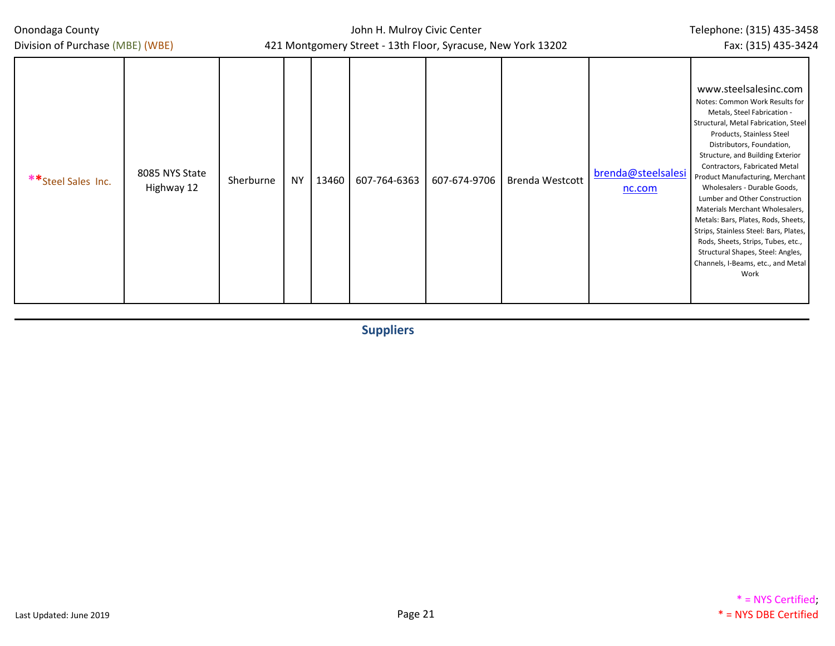| Onondaga County<br>Division of Purchase (MBE) (WBE) |                              |           | Telephone: (315) 435-3458<br>John H. Mulroy Civic Center<br>421 Montgomery Street - 13th Floor, Syracuse, New York 13202 |       |              |              |                        |                              |                                                                                                                                                                                                                                                                                                                                                                                                                                                                                                                                                                                                                |  |  |  |
|-----------------------------------------------------|------------------------------|-----------|--------------------------------------------------------------------------------------------------------------------------|-------|--------------|--------------|------------------------|------------------------------|----------------------------------------------------------------------------------------------------------------------------------------------------------------------------------------------------------------------------------------------------------------------------------------------------------------------------------------------------------------------------------------------------------------------------------------------------------------------------------------------------------------------------------------------------------------------------------------------------------------|--|--|--|
| ** Steel Sales Inc.                                 | 8085 NYS State<br>Highway 12 | Sherburne | <b>NY</b>                                                                                                                | 13460 | 607-764-6363 | 607-674-9706 | <b>Brenda Westcott</b> | brenda@steelsalesi<br>nc.com | www.steelsalesinc.com<br>Notes: Common Work Results for<br>Metals, Steel Fabrication -<br>Structural, Metal Fabrication, Steel<br>Products, Stainless Steel<br>Distributors, Foundation,<br>Structure, and Building Exterior<br>Contractors, Fabricated Metal<br>Product Manufacturing, Merchant<br>Wholesalers - Durable Goods,<br>Lumber and Other Construction<br>Materials Merchant Wholesalers,<br>Metals: Bars, Plates, Rods, Sheets,<br>Strips, Stainless Steel: Bars, Plates,<br>Rods, Sheets, Strips, Tubes, etc.,<br>Structural Shapes, Steel: Angles,<br>Channels, I-Beams, etc., and Metal<br>Work |  |  |  |

**Suppliers**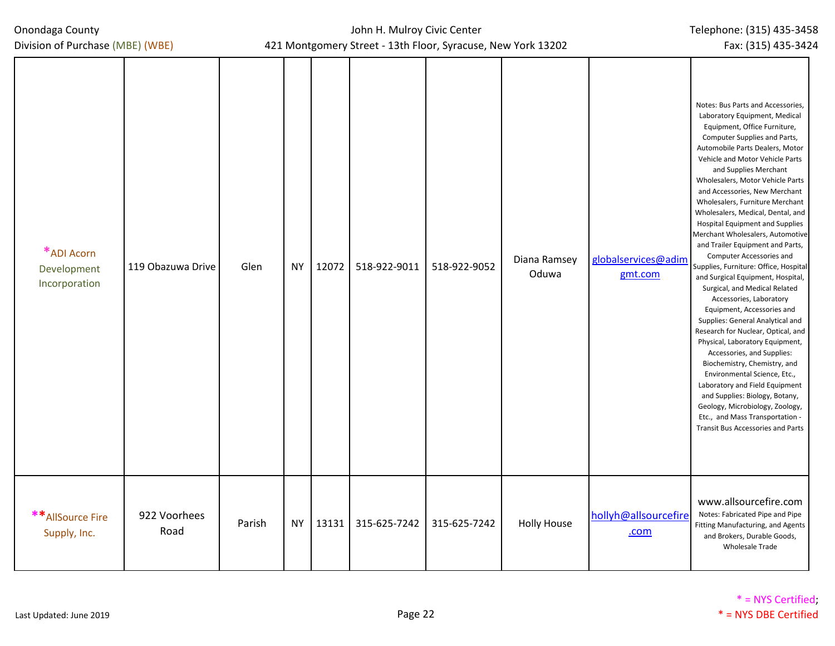| Division of Purchase (MBE) (WBE)           |                      |        |           |       | 421 Montgomery Street - 13th Floor, Syracuse, New York 13202 |              |                       |                                | Fax: (315) 435-3424                                                                                                                                                                                                                                                                                                                                                                                                                                                                                                                                                                                                                                                                                                                                                                                                                                                                                                                                                                                                                                                                     |
|--------------------------------------------|----------------------|--------|-----------|-------|--------------------------------------------------------------|--------------|-----------------------|--------------------------------|-----------------------------------------------------------------------------------------------------------------------------------------------------------------------------------------------------------------------------------------------------------------------------------------------------------------------------------------------------------------------------------------------------------------------------------------------------------------------------------------------------------------------------------------------------------------------------------------------------------------------------------------------------------------------------------------------------------------------------------------------------------------------------------------------------------------------------------------------------------------------------------------------------------------------------------------------------------------------------------------------------------------------------------------------------------------------------------------|
| *ADI Acorn<br>Development<br>Incorporation | 119 Obazuwa Drive    | Glen   | <b>NY</b> | 12072 | 518-922-9011                                                 | 518-922-9052 | Diana Ramsey<br>Oduwa | globalservices@adim<br>gmt.com | Notes: Bus Parts and Accessories,<br>Laboratory Equipment, Medical<br>Equipment, Office Furniture,<br>Computer Supplies and Parts,<br>Automobile Parts Dealers, Motor<br>Vehicle and Motor Vehicle Parts<br>and Supplies Merchant<br>Wholesalers, Motor Vehicle Parts<br>and Accessories, New Merchant<br>Wholesalers, Furniture Merchant<br>Wholesalers, Medical, Dental, and<br>Hospital Equipment and Supplies<br>Merchant Wholesalers, Automotive<br>and Trailer Equipment and Parts,<br>Computer Accessories and<br>Supplies, Furniture: Office, Hospital<br>and Surgical Equipment, Hospital,<br>Surgical, and Medical Related<br>Accessories, Laboratory<br>Equipment, Accessories and<br>Supplies: General Analytical and<br>Research for Nuclear, Optical, and<br>Physical, Laboratory Equipment,<br>Accessories, and Supplies:<br>Biochemistry, Chemistry, and<br>Environmental Science, Etc.,<br>Laboratory and Field Equipment<br>and Supplies: Biology, Botany,<br>Geology, Microbiology, Zoology,<br>Etc., and Mass Transportation -<br>Transit Bus Accessories and Parts |
| ** AllSource Fire<br>Supply, Inc.          | 922 Voorhees<br>Road | Parish | <b>NY</b> | 13131 | 315-625-7242                                                 | 315-625-7242 | <b>Holly House</b>    | hollyh@allsourcefire<br>.com   | www.allsourcefire.com<br>Notes: Fabricated Pipe and Pipe<br>Fitting Manufacturing, and Agents<br>and Brokers, Durable Goods,<br><b>Wholesale Trade</b>                                                                                                                                                                                                                                                                                                                                                                                                                                                                                                                                                                                                                                                                                                                                                                                                                                                                                                                                  |

John H. Mulroy Civic Center

Onondaga County

Telephone: (315) 435-3458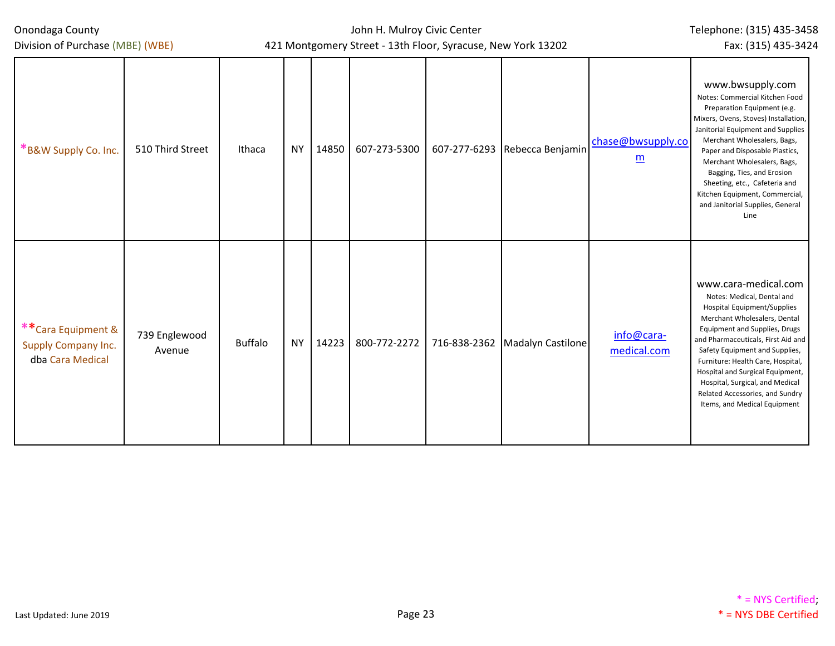| Onondaga County |  |
|-----------------|--|
|-----------------|--|

## John H. Mulroy Civic Center 421 Montgomery Street - 13th Floor, Syracuse, New York 13202

Telephone: (315) 435-3458 Fax: (315) 435-3424

| *B&W Supply Co. Inc.                                          | 510 Third Street        | Ithaca         | <b>NY</b> | 14850 | 607-273-5300 | 607-277-6293 | Rebecca Benjamin  | chase@bwsupply.co<br>m    | www.bwsupply.com<br>Notes: Commercial Kitchen Food<br>Preparation Equipment (e.g.<br>Mixers, Ovens, Stoves) Installation,<br>Janitorial Equipment and Supplies<br>Merchant Wholesalers, Bags,<br>Paper and Disposable Plastics,<br>Merchant Wholesalers, Bags,<br>Bagging, Ties, and Erosion<br>Sheeting, etc., Cafeteria and<br>Kitchen Equipment, Commercial,<br>and Janitorial Supplies, General<br>Line      |
|---------------------------------------------------------------|-------------------------|----------------|-----------|-------|--------------|--------------|-------------------|---------------------------|------------------------------------------------------------------------------------------------------------------------------------------------------------------------------------------------------------------------------------------------------------------------------------------------------------------------------------------------------------------------------------------------------------------|
| **Cara Equipment &<br>Supply Company Inc.<br>dba Cara Medical | 739 Englewood<br>Avenue | <b>Buffalo</b> | <b>NY</b> | 14223 | 800-772-2272 | 716-838-2362 | Madalyn Castilone | info@cara-<br>medical.com | www.cara-medical.com<br>Notes: Medical, Dental and<br><b>Hospital Equipment/Supplies</b><br>Merchant Wholesalers, Dental<br>Equipment and Supplies, Drugs<br>and Pharmaceuticals, First Aid and<br>Safety Equipment and Supplies,<br>Furniture: Health Care, Hospital,<br>Hospital and Surgical Equipment,<br>Hospital, Surgical, and Medical<br>Related Accessories, and Sundry<br>Items, and Medical Equipment |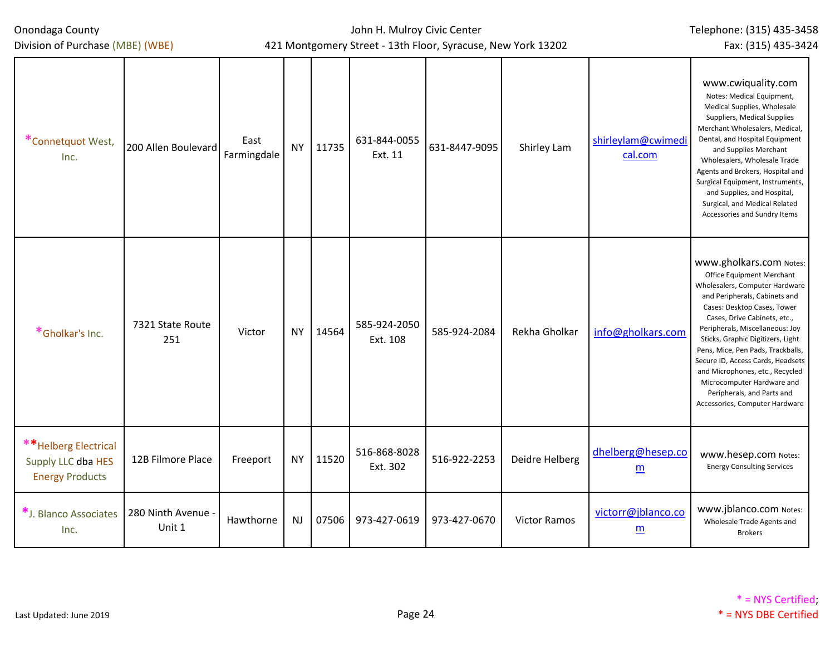#### John H. Mulroy Civic Center 421 Montgomery Street - 13th Floor, Syracuse, New York 13202

Telephone: (315) 435-3458 Fax: (315) 435-3424

| Division of Purchase (MBE) (WBE)                                     |                            | 421 Montgomery Street - 13th Floor, Syracuse, New York 13202 | Fax: (315) 435-342 |       |                          |               |                     |                                       |                                                                                                                                                                                                                                                                                                                                                                                                                                                                           |
|----------------------------------------------------------------------|----------------------------|--------------------------------------------------------------|--------------------|-------|--------------------------|---------------|---------------------|---------------------------------------|---------------------------------------------------------------------------------------------------------------------------------------------------------------------------------------------------------------------------------------------------------------------------------------------------------------------------------------------------------------------------------------------------------------------------------------------------------------------------|
| *Connetquot West,<br>Inc.                                            | 200 Allen Boulevard        | East<br>Farmingdale                                          | <b>NY</b>          | 11735 | 631-844-0055<br>Ext. 11  | 631-8447-9095 | Shirley Lam         | shirleylam@cwimedi<br>cal.com         | www.cwiquality.com<br>Notes: Medical Equipment,<br>Medical Supplies, Wholesale<br>Suppliers, Medical Supplies<br>Merchant Wholesalers, Medical,<br>Dental, and Hospital Equipment<br>and Supplies Merchant<br>Wholesalers, Wholesale Trade<br>Agents and Brokers, Hospital and<br>Surgical Equipment, Instruments,<br>and Supplies, and Hospital,<br>Surgical, and Medical Related<br>Accessories and Sundry Items                                                        |
| *Gholkar's Inc.                                                      | 7321 State Route<br>251    | Victor                                                       | <b>NY</b>          | 14564 | 585-924-2050<br>Ext. 108 | 585-924-2084  | Rekha Gholkar       | info@gholkars.com                     | www.gholkars.com Notes:<br>Office Equipment Merchant<br>Wholesalers, Computer Hardware<br>and Peripherals, Cabinets and<br>Cases: Desktop Cases, Tower<br>Cases, Drive Cabinets, etc.,<br>Peripherals, Miscellaneous: Joy<br>Sticks, Graphic Digitizers, Light<br>Pens, Mice, Pen Pads, Trackballs,<br>Secure ID, Access Cards, Headsets<br>and Microphones, etc., Recycled<br>Microcomputer Hardware and<br>Peripherals, and Parts and<br>Accessories, Computer Hardware |
| **Helberg Electrical<br>Supply LLC dba HES<br><b>Energy Products</b> | 12B Filmore Place          | Freeport                                                     | <b>NY</b>          | 11520 | 516-868-8028<br>Ext. 302 | 516-922-2253  | Deidre Helberg      | dhelberg@hesep.co<br>m                | www.hesep.com Notes:<br><b>Energy Consulting Services</b>                                                                                                                                                                                                                                                                                                                                                                                                                 |
| *J. Blanco Associates<br>Inc.                                        | 280 Ninth Avenue<br>Unit 1 | Hawthorne                                                    | <b>NJ</b>          | 07506 | 973-427-0619             | 973-427-0670  | <b>Victor Ramos</b> | victorr@jblanco.co<br>$\underline{m}$ | www.jblanco.com Notes:<br>Wholesale Trade Agents and<br><b>Brokers</b>                                                                                                                                                                                                                                                                                                                                                                                                    |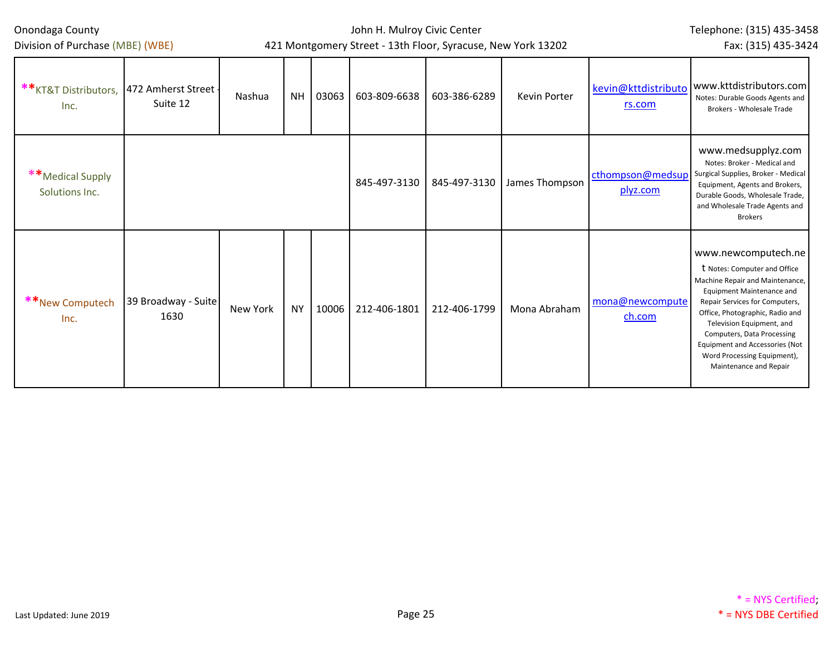| Onondaga County |  |
|-----------------|--|
|-----------------|--|

John H. Mulroy Civic Center 421 Montgomery Street - 13th Floor, Syracuse, New York 13202 Telephone: (315) 435-3458

Fax: (315) 435-3424

| **KT&T Distributors,<br>Inc.       | 472 Amherst Street -<br>Suite 12 | Nashua   | <b>NH</b> | 03063 | 603-809-6638 | 603-386-6289 | Kevin Porter   | kevin@kttdistributo<br>rs.com | www.kttdistributors.com<br>Notes: Durable Goods Agents and<br>Brokers - Wholesale Trade                                                                                                                                                                                                                                                                      |
|------------------------------------|----------------------------------|----------|-----------|-------|--------------|--------------|----------------|-------------------------------|--------------------------------------------------------------------------------------------------------------------------------------------------------------------------------------------------------------------------------------------------------------------------------------------------------------------------------------------------------------|
| **Medical Supply<br>Solutions Inc. |                                  |          |           |       | 845-497-3130 | 845-497-3130 | James Thompson | cthompson@medsup<br>plyz.com  | www.medsupplyz.com<br>Notes: Broker - Medical and<br>Surgical Supplies, Broker - Medical<br>Equipment, Agents and Brokers,<br>Durable Goods, Wholesale Trade,<br>and Wholesale Trade Agents and<br><b>Brokers</b>                                                                                                                                            |
| **New Computech<br>Inc.            | 39 Broadway - Suite<br>1630      | New York | <b>NY</b> | 10006 | 212-406-1801 | 212-406-1799 | Mona Abraham   | mona@newcompute<br>ch.com     | www.newcomputech.ne<br>t Notes: Computer and Office<br>Machine Repair and Maintenance,<br><b>Equipment Maintenance and</b><br>Repair Services for Computers,<br>Office, Photographic, Radio and<br>Television Equipment, and<br>Computers, Data Processing<br><b>Equipment and Accessories (Not</b><br>Word Processing Equipment),<br>Maintenance and Repair |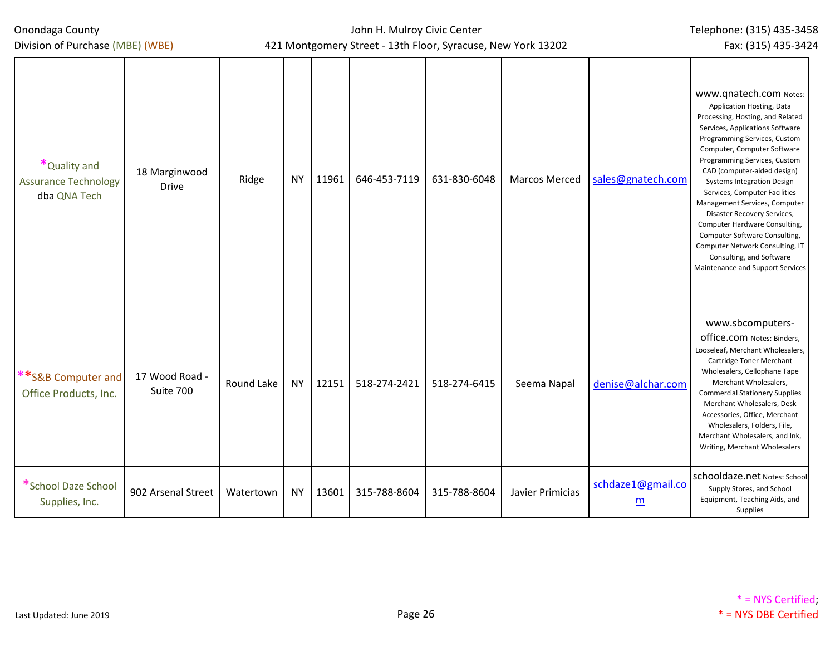Division of Purchase (MBE) (WBE)

| *Quality and<br><b>Assurance Technology</b><br>dba QNA Tech | 18 Marginwood<br><b>Drive</b> | Ridge      | <b>NY</b> | 11961 | 646-453-7119 | 631-830-6048 | <b>Marcos Merced</b> | sales@gnatech.com      | www.qnatech.com Notes:<br>Application Hosting, Data<br>Processing, Hosting, and Related<br>Services, Applications Software<br>Programming Services, Custom<br>Computer, Computer Software<br>Programming Services, Custom<br>CAD (computer-aided design)<br><b>Systems Integration Design</b><br>Services, Computer Facilities<br>Management Services, Computer<br>Disaster Recovery Services,<br>Computer Hardware Consulting,<br>Computer Software Consulting,<br>Computer Network Consulting, IT<br>Consulting, and Software<br>Maintenance and Support Services |
|-------------------------------------------------------------|-------------------------------|------------|-----------|-------|--------------|--------------|----------------------|------------------------|---------------------------------------------------------------------------------------------------------------------------------------------------------------------------------------------------------------------------------------------------------------------------------------------------------------------------------------------------------------------------------------------------------------------------------------------------------------------------------------------------------------------------------------------------------------------|
| **S&B Computer and<br>Office Products, Inc.                 | 17 Wood Road -<br>Suite 700   | Round Lake | <b>NY</b> | 12151 | 518-274-2421 | 518-274-6415 | Seema Napal          | denise@alchar.com      | www.sbcomputers-<br><b>office.com</b> Notes: Binders,<br>Looseleaf, Merchant Wholesalers,<br>Cartridge Toner Merchant<br>Wholesalers, Cellophane Tape<br>Merchant Wholesalers,<br><b>Commercial Stationery Supplies</b><br>Merchant Wholesalers, Desk<br>Accessories, Office, Merchant<br>Wholesalers, Folders, File,<br>Merchant Wholesalers, and Ink,<br>Writing, Merchant Wholesalers                                                                                                                                                                            |
| *School Daze School<br>Supplies, Inc.                       | 902 Arsenal Street            | Watertown  | <b>NY</b> | 13601 | 315-788-8604 | 315-788-8604 | Javier Primicias     | schdaze1@gmail.co<br>m | schooldaze.net Notes: School<br>Supply Stores, and School<br>Equipment, Teaching Aids, and<br>Supplies                                                                                                                                                                                                                                                                                                                                                                                                                                                              |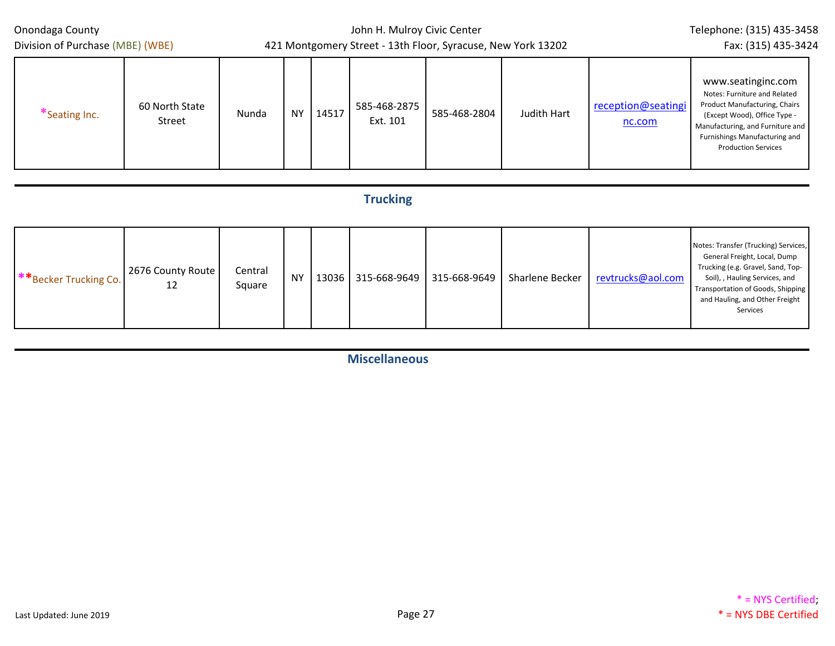| Onondaga County |  |
|-----------------|--|
|-----------------|--|

## John H. Mulroy Civic Center 421 Montgomery Street - 13th Floor, Syracuse, New York 13202

Fax: (315) 435-3424

| *Seating Inc. | 60 North State<br>Street | Nunda | <b>NY</b> | 14517 | 585-468-2875<br>Ext. 101 | 585-468-2804 | Judith Hart | reception@seatingi<br>nc.com | www.seatinginc.com<br>Notes: Furniture and Related<br>Product Manufacturing, Chairs<br>(Except Wood), Office Type -<br>Manufacturing, and Furniture and<br>Furnishings Manufacturing and<br><b>Production Services</b> |
|---------------|--------------------------|-------|-----------|-------|--------------------------|--------------|-------------|------------------------------|------------------------------------------------------------------------------------------------------------------------------------------------------------------------------------------------------------------------|
|---------------|--------------------------|-------|-----------|-------|--------------------------|--------------|-------------|------------------------------|------------------------------------------------------------------------------------------------------------------------------------------------------------------------------------------------------------------------|

## **Trucking**

| ** Becker Trucking Co. | 2676 County Route<br>12 | Central<br>Square | <b>NY</b> |  | 13036 315-668-9649 | 315-668-9649 | Sharlene Becker | revtrucks@aol.com | Notes: Transfer (Trucking) Services,<br>General Freight, Local, Dump<br>Trucking (e.g. Gravel, Sand, Top-<br>Soil), , Hauling Services, and<br>Transportation of Goods, Shipping<br>and Hauling, and Other Freight<br>Services |
|------------------------|-------------------------|-------------------|-----------|--|--------------------|--------------|-----------------|-------------------|--------------------------------------------------------------------------------------------------------------------------------------------------------------------------------------------------------------------------------|
|------------------------|-------------------------|-------------------|-----------|--|--------------------|--------------|-----------------|-------------------|--------------------------------------------------------------------------------------------------------------------------------------------------------------------------------------------------------------------------------|

**Miscellaneous**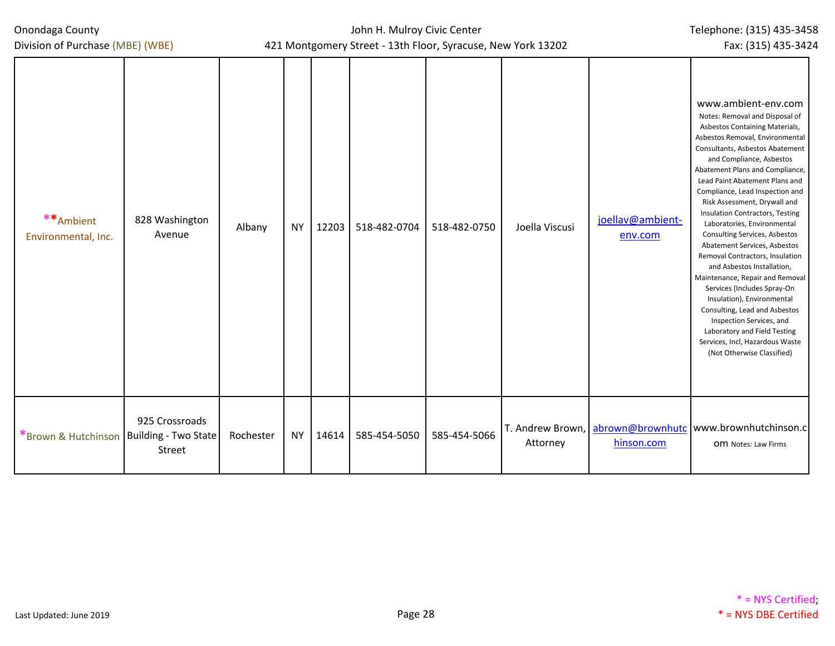| Onondaga County |  |
|-----------------|--|
|-----------------|--|

#### John H. Mulroy Civic Center 421 Montgomery Street - 13th Floor, Syracuse, New York 13202

| **Ambient<br>Environmental, Inc.           | 828 Washington<br>Avenue | Albany    | <b>NY</b> | 12203 | 518-482-0704 | 518-482-0750 | Joella Viscusi | joellav@ambient-<br>env.com | www.ambient-env.com<br>Notes: Removal and Disposal of<br>Asbestos Containing Materials,<br>Asbestos Removal, Environmental<br>Consultants, Asbestos Abatement<br>and Compliance, Asbestos<br>Abatement Plans and Compliance,<br>Lead Paint Abatement Plans and<br>Compliance, Lead Inspection and<br>Risk Assessment, Drywall and<br>Insulation Contractors, Testing<br>Laboratories, Environmental<br>Consulting Services, Asbestos<br>Abatement Services, Asbestos<br>Removal Contractors, Insulation<br>and Asbestos Installation,<br>Maintenance, Repair and Removal<br>Services (Includes Spray-On<br>Insulation), Environmental<br>Consulting, Lead and Asbestos<br>Inspection Services, and<br>Laboratory and Field Testing<br>Services, Incl, Hazardous Waste<br>(Not Otherwise Classified) |
|--------------------------------------------|--------------------------|-----------|-----------|-------|--------------|--------------|----------------|-----------------------------|-----------------------------------------------------------------------------------------------------------------------------------------------------------------------------------------------------------------------------------------------------------------------------------------------------------------------------------------------------------------------------------------------------------------------------------------------------------------------------------------------------------------------------------------------------------------------------------------------------------------------------------------------------------------------------------------------------------------------------------------------------------------------------------------------------|
| *Brown & Hutchinson   Building - Two State | 925 Crossroads<br>Street | Rochester | <b>NY</b> | 14614 | 585-454-5050 | 585-454-5066 | Attorney       | hinson.com                  | T. Andrew Brown, abrown@brownhutc   www.brownhutchinson.c<br>OM Notes: Law Firms                                                                                                                                                                                                                                                                                                                                                                                                                                                                                                                                                                                                                                                                                                                    |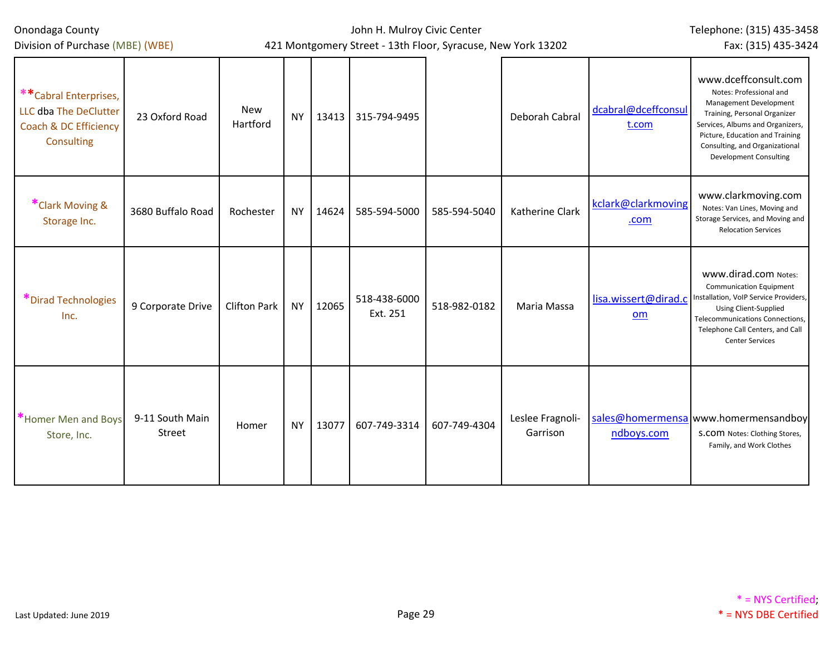| Onondaga County<br>Division of Purchase (MBE) (WBE)                                   |                           |                     | John H. Mulroy Civic Center<br>421 Montgomery Street - 13th Floor, Syracuse, New York 13202 |       |                          |              |                              |                              |                                                                                                                                                                                                                                                     |  |  |  |
|---------------------------------------------------------------------------------------|---------------------------|---------------------|---------------------------------------------------------------------------------------------|-------|--------------------------|--------------|------------------------------|------------------------------|-----------------------------------------------------------------------------------------------------------------------------------------------------------------------------------------------------------------------------------------------------|--|--|--|
| **Cabral Enterprises,<br>LLC dba The DeClutter<br>Coach & DC Efficiency<br>Consulting | 23 Oxford Road            | New<br>Hartford     | <b>NY</b>                                                                                   | 13413 | 315-794-9495             |              | Deborah Cabral               | dcabral@dceffconsul<br>t.com | www.dceffconsult.com<br>Notes: Professional and<br>Management Development<br>Training, Personal Organizer<br>Services, Albums and Organizers,<br>Picture, Education and Training<br>Consulting, and Organizational<br><b>Development Consulting</b> |  |  |  |
| *Clark Moving &<br>Storage Inc.                                                       | 3680 Buffalo Road         | Rochester           | <b>NY</b>                                                                                   | 14624 | 585-594-5000             | 585-594-5040 | <b>Katherine Clark</b>       | kclark@clarkmoving<br>.com   | www.clarkmoving.com<br>Notes: Van Lines, Moving and<br>Storage Services, and Moving and<br><b>Relocation Services</b>                                                                                                                               |  |  |  |
| * Dirad Technologies<br>Inc.                                                          | 9 Corporate Drive         | <b>Clifton Park</b> | <b>NY</b>                                                                                   | 12065 | 518-438-6000<br>Ext. 251 | 518-982-0182 | Maria Massa                  | lisa.wissert@dirad.c<br>om   | www.dirad.com Notes:<br><b>Communication Equipment</b><br>Installation, VoIP Service Providers,<br><b>Using Client-Supplied</b><br>Telecommunications Connections,<br>Telephone Call Centers, and Call<br><b>Center Services</b>                    |  |  |  |
| Homer Men and Boys<br>Store, Inc.                                                     | 9-11 South Main<br>Street | Homer               | <b>NY</b>                                                                                   | 13077 | 607-749-3314             | 607-749-4304 | Leslee Fragnoli-<br>Garrison | ndboys.com                   | sales@homermensalwww.homermensandboy<br>S.COM Notes: Clothing Stores,<br>Family, and Work Clothes                                                                                                                                                   |  |  |  |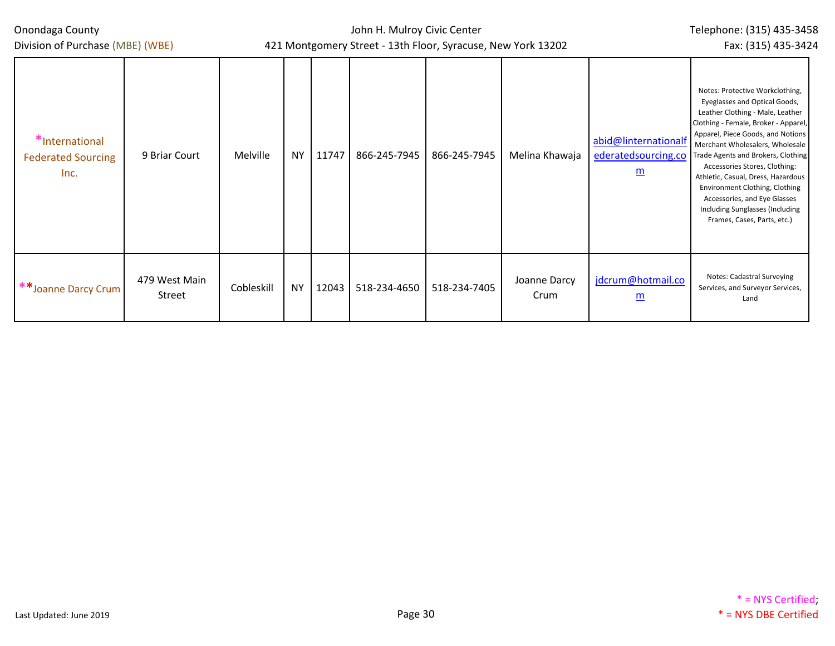| Onondaga County |  |
|-----------------|--|
|-----------------|--|

| *International<br><b>Federated Sourcing</b><br>Inc. | 9 Briar Court           | Melville   | <b>NY</b> | 11747 | 866-245-7945 | 866-245-7945 | Melina Khawaja       | abid@linternationalf<br>ederatedsourcing.co<br>$\underline{\mathsf{m}}$ | Notes: Protective Workclothing,<br>Eyeglasses and Optical Goods,<br>Leather Clothing - Male, Leather<br>Clothing - Female, Broker - Apparel,<br>Apparel, Piece Goods, and Notions<br>Merchant Wholesalers, Wholesale<br>Trade Agents and Brokers, Clothing<br>Accessories Stores, Clothing:<br>Athletic, Casual, Dress, Hazardous<br>Environment Clothing, Clothing<br>Accessories, and Eye Glasses<br>Including Sunglasses (Including<br>Frames, Cases, Parts, etc.) |
|-----------------------------------------------------|-------------------------|------------|-----------|-------|--------------|--------------|----------------------|-------------------------------------------------------------------------|-----------------------------------------------------------------------------------------------------------------------------------------------------------------------------------------------------------------------------------------------------------------------------------------------------------------------------------------------------------------------------------------------------------------------------------------------------------------------|
| <sup>**</sup> Joanne Darcy Crum                     | 479 West Main<br>Street | Cobleskill | <b>NY</b> | 12043 | 518-234-4650 | 518-234-7405 | Joanne Darcy<br>Crum | jdcrum@hotmail.co<br>$\underline{\mathbf{m}}$                           | Notes: Cadastral Surveying<br>Services, and Surveyor Services,<br>Land                                                                                                                                                                                                                                                                                                                                                                                                |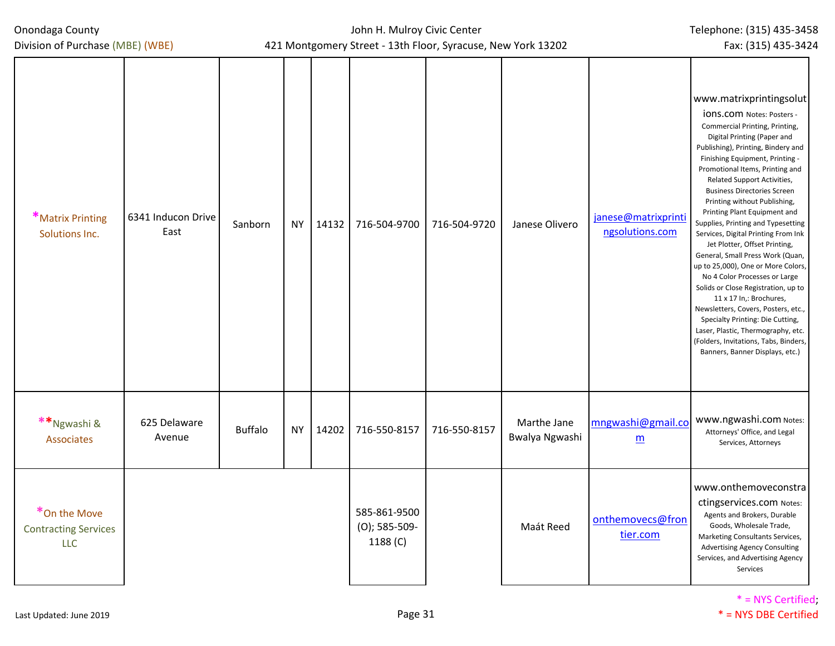Division of Purchase (MBE) (WBE)

John H. Mulroy Civic Center 421 Montgomery Street - 13th Floor, Syracuse, New York 13202

| *Matrix Printing<br>Solutions Inc.                        | 6341 Inducon Drive<br>East | Sanborn        | <b>NY</b> | 14132 | 716-504-9700                              | 716-504-9720 | Janese Olivero                | janese@matrixprinti<br>ngsolutions.com | www.matrixprintingsolut<br>ions.com Notes: Posters -<br>Commercial Printing, Printing,<br>Digital Printing (Paper and<br>Publishing), Printing, Bindery and<br>Finishing Equipment, Printing -<br>Promotional Items, Printing and<br>Related Support Activities,<br><b>Business Directories Screen</b><br>Printing without Publishing,<br>Printing Plant Equipment and<br>Supplies, Printing and Typesetting<br>Services, Digital Printing From Ink<br>Jet Plotter, Offset Printing,<br>General, Small Press Work (Quan,<br>up to 25,000), One or More Colors,<br>No 4 Color Processes or Large<br>Solids or Close Registration, up to<br>11 x 17 In,: Brochures,<br>Newsletters, Covers, Posters, etc.,<br>Specialty Printing: Die Cutting,<br>Laser, Plastic, Thermography, etc.<br>(Folders, Invitations, Tabs, Binders,<br>Banners, Banner Displays, etc.) |
|-----------------------------------------------------------|----------------------------|----------------|-----------|-------|-------------------------------------------|--------------|-------------------------------|----------------------------------------|----------------------------------------------------------------------------------------------------------------------------------------------------------------------------------------------------------------------------------------------------------------------------------------------------------------------------------------------------------------------------------------------------------------------------------------------------------------------------------------------------------------------------------------------------------------------------------------------------------------------------------------------------------------------------------------------------------------------------------------------------------------------------------------------------------------------------------------------------------------|
| **Ngwashi &<br>Associates                                 | 625 Delaware<br>Avenue     | <b>Buffalo</b> | <b>NY</b> | 14202 | 716-550-8157                              | 716-550-8157 | Marthe Jane<br>Bwalya Ngwashi | mngwashi@gmail.co<br>m                 | www.ngwashi.com Notes:<br>Attorneys' Office, and Legal<br>Services, Attorneys                                                                                                                                                                                                                                                                                                                                                                                                                                                                                                                                                                                                                                                                                                                                                                                  |
| *On the Move<br><b>Contracting Services</b><br><b>LLC</b> |                            |                |           |       | 585-861-9500<br>(O); 585-509-<br>1188 (C) |              | Maát Reed                     | onthemovecs@fron<br>tier.com           | www.onthemoveconstra<br>ctingservices.com Notes:<br>Agents and Brokers, Durable<br>Goods, Wholesale Trade,<br>Marketing Consultants Services,<br><b>Advertising Agency Consulting</b><br>Services, and Advertising Agency<br>Services                                                                                                                                                                                                                                                                                                                                                                                                                                                                                                                                                                                                                          |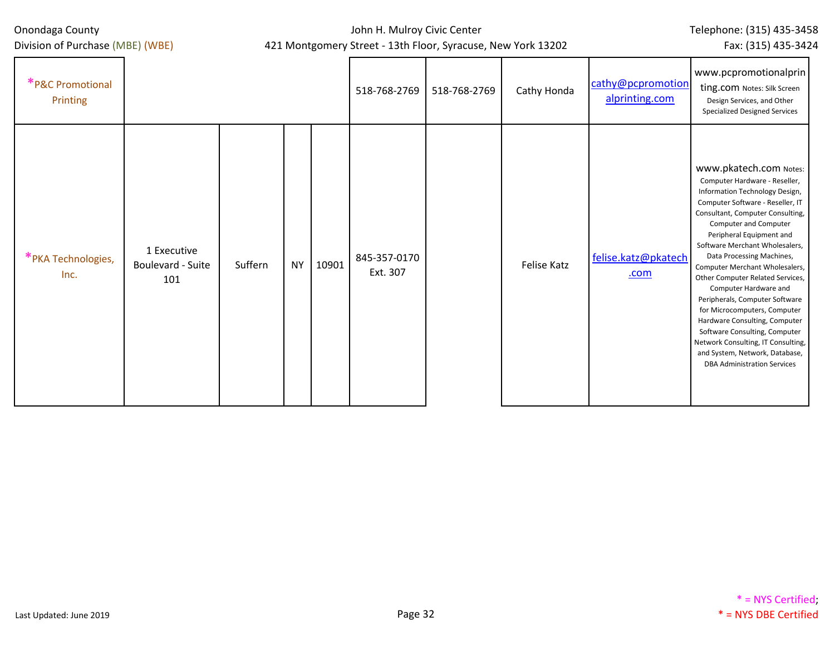Division of Purchase (MBE) (WBE)

John H. Mulroy Civic Center 421 Montgomery Street - 13th Floor, Syracuse, New York 13202 Telephone: (315) 435-3458 Fax: (315) 435-3424

| *P&C Promotional<br>Printing |                                         |         |           |       | 518-768-2769             | 518-768-2769 | Cathy Honda        | cathy@pcpromotion<br>alprinting.com | www.pcpromotionalprin<br>ting.com Notes: Silk Screen<br>Design Services, and Other<br><b>Specialized Designed Services</b>                                                                                                                                                                                                                                                                                                                                                                                                                                                                                                             |
|------------------------------|-----------------------------------------|---------|-----------|-------|--------------------------|--------------|--------------------|-------------------------------------|----------------------------------------------------------------------------------------------------------------------------------------------------------------------------------------------------------------------------------------------------------------------------------------------------------------------------------------------------------------------------------------------------------------------------------------------------------------------------------------------------------------------------------------------------------------------------------------------------------------------------------------|
| *PKA Technologies,<br>Inc.   | 1 Executive<br>Boulevard - Suite<br>101 | Suffern | <b>NY</b> | 10901 | 845-357-0170<br>Ext. 307 |              | <b>Felise Katz</b> | felise.katz@pkatech<br>.com         | www.pkatech.com Notes:<br>Computer Hardware - Reseller,<br>Information Technology Design,<br>Computer Software - Reseller, IT<br>Consultant, Computer Consulting,<br>Computer and Computer<br>Peripheral Equipment and<br>Software Merchant Wholesalers,<br>Data Processing Machines,<br>Computer Merchant Wholesalers,<br>Other Computer Related Services,<br>Computer Hardware and<br>Peripherals, Computer Software<br>for Microcomputers, Computer<br>Hardware Consulting, Computer<br>Software Consulting, Computer<br>Network Consulting, IT Consulting,<br>and System, Network, Database,<br><b>DBA Administration Services</b> |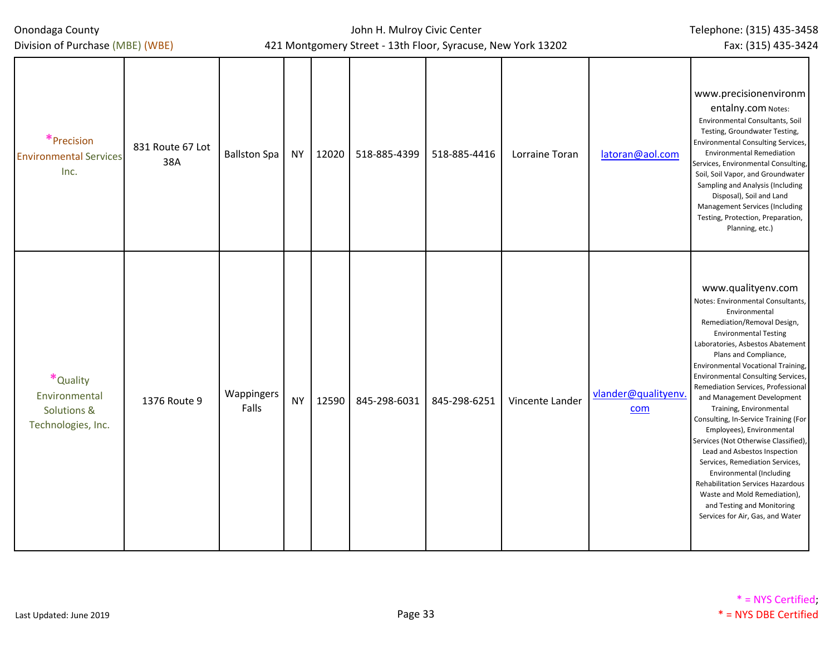| Onondaga County |  |
|-----------------|--|
|-----------------|--|

## John H. Mulroy Civic Center 421 Montgomery Street - 13th Floor, Syracuse, New York 13202

| *Precision<br><b>Environmental Services</b><br>Inc.            | 831 Route 67 Lot<br>38A | <b>Ballston Spa</b> | <b>NY</b> | 12020 | 518-885-4399 | 518-885-4416 | Lorraine Toran  | latoran@aol.com            | www.precisionenvironm<br>entalny.com Notes:<br>Environmental Consultants, Soil<br>Testing, Groundwater Testing,<br><b>Environmental Consulting Services,</b><br><b>Environmental Remediation</b><br>Services, Environmental Consulting,<br>Soil, Soil Vapor, and Groundwater                                                                                                                                                                                                                                                                                                                                                                                                                                                                     |
|----------------------------------------------------------------|-------------------------|---------------------|-----------|-------|--------------|--------------|-----------------|----------------------------|--------------------------------------------------------------------------------------------------------------------------------------------------------------------------------------------------------------------------------------------------------------------------------------------------------------------------------------------------------------------------------------------------------------------------------------------------------------------------------------------------------------------------------------------------------------------------------------------------------------------------------------------------------------------------------------------------------------------------------------------------|
|                                                                |                         |                     |           |       |              |              |                 |                            | Sampling and Analysis (Including<br>Disposal), Soil and Land<br>Management Services (Including<br>Testing, Protection, Preparation,<br>Planning, etc.)                                                                                                                                                                                                                                                                                                                                                                                                                                                                                                                                                                                           |
| *Quality<br>Environmental<br>Solutions &<br>Technologies, Inc. | 1376 Route 9            | Wappingers<br>Falls | <b>NY</b> | 12590 | 845-298-6031 | 845-298-6251 | Vincente Lander | vlander@qualityenv.<br>com | www.qualityenv.com<br>Notes: Environmental Consultants,<br>Environmental<br>Remediation/Removal Design,<br><b>Environmental Testing</b><br>Laboratories, Asbestos Abatement<br>Plans and Compliance,<br>Environmental Vocational Training,<br><b>Environmental Consulting Services,</b><br>Remediation Services, Professional<br>and Management Development<br>Training, Environmental<br>Consulting, In-Service Training (For<br>Employees), Environmental<br>Services (Not Otherwise Classified),<br>Lead and Asbestos Inspection<br>Services, Remediation Services,<br>Environmental (Including<br><b>Rehabilitation Services Hazardous</b><br>Waste and Mold Remediation),<br>and Testing and Monitoring<br>Services for Air, Gas, and Water |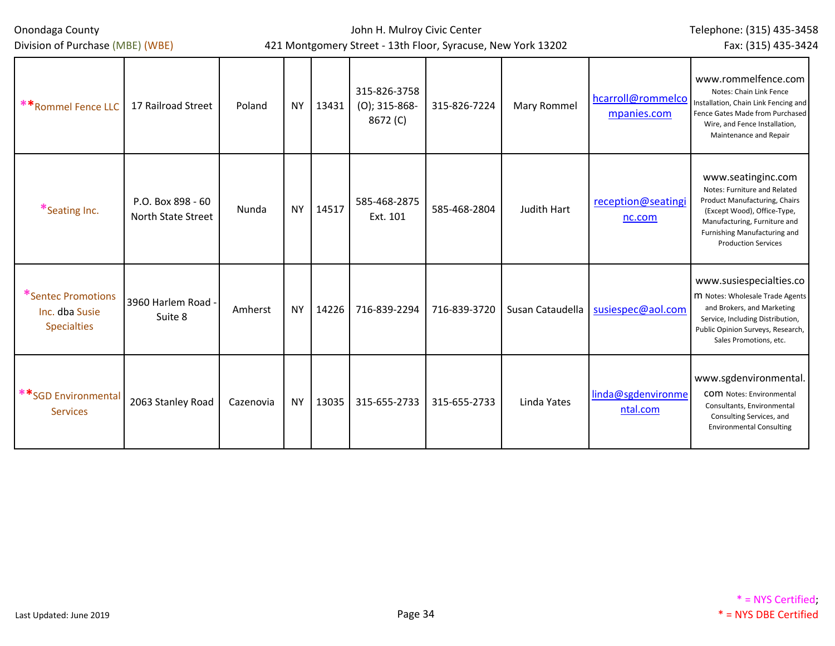Division of Purchase (MBE) (WBE)

#### John H. Mulroy Civic Center 421 Montgomery Street - 13th Floor, Syracuse, New York 13202

Telephone: (315) 435-3458

Fax: (315) 435-3424

| ** Rommel Fence LLC                                        | 17 Railroad Street                      | Poland    | <b>NY</b> | 13431 | 315-826-3758<br>$(O)$ ; 315-868-<br>8672 (C) | 315-826-7224 | Mary Rommel      | hcarroll@rommelco<br>mpanies.com | www.rommelfence.com<br>Notes: Chain Link Fence<br>Installation, Chain Link Fencing and<br>Fence Gates Made from Purchased<br>Wire, and Fence Installation,<br>Maintenance and Repair                             |
|------------------------------------------------------------|-----------------------------------------|-----------|-----------|-------|----------------------------------------------|--------------|------------------|----------------------------------|------------------------------------------------------------------------------------------------------------------------------------------------------------------------------------------------------------------|
| *Seating Inc.                                              | P.O. Box 898 - 60<br>North State Street | Nunda     | <b>NY</b> | 14517 | 585-468-2875<br>Ext. 101                     | 585-468-2804 | Judith Hart      | reception@seatingi<br>nc.com     | www.seatinginc.com<br>Notes: Furniture and Related<br>Product Manufacturing, Chairs<br>(Except Wood), Office-Type,<br>Manufacturing, Furniture and<br>Furnishing Manufacturing and<br><b>Production Services</b> |
| *Sentec Promotions<br>Inc. dba Susie<br><b>Specialties</b> | 3960 Harlem Road<br>Suite 8             | Amherst   | <b>NY</b> | 14226 | 716-839-2294                                 | 716-839-3720 | Susan Cataudella | susiespec@aol.com                | www.susiespecialties.co<br>M Notes: Wholesale Trade Agents<br>and Brokers, and Marketing<br>Service, Including Distribution,<br>Public Opinion Surveys, Research,<br>Sales Promotions, etc.                      |
| ** SGD Environmental<br><b>Services</b>                    | 2063 Stanley Road                       | Cazenovia | <b>NY</b> | 13035 | 315-655-2733                                 | 315-655-2733 | Linda Yates      | linda@sgdenvironme<br>ntal.com   | www.sgdenvironmental.<br>COM Notes: Environmental<br>Consultants, Environmental<br>Consulting Services, and<br><b>Environmental Consulting</b>                                                                   |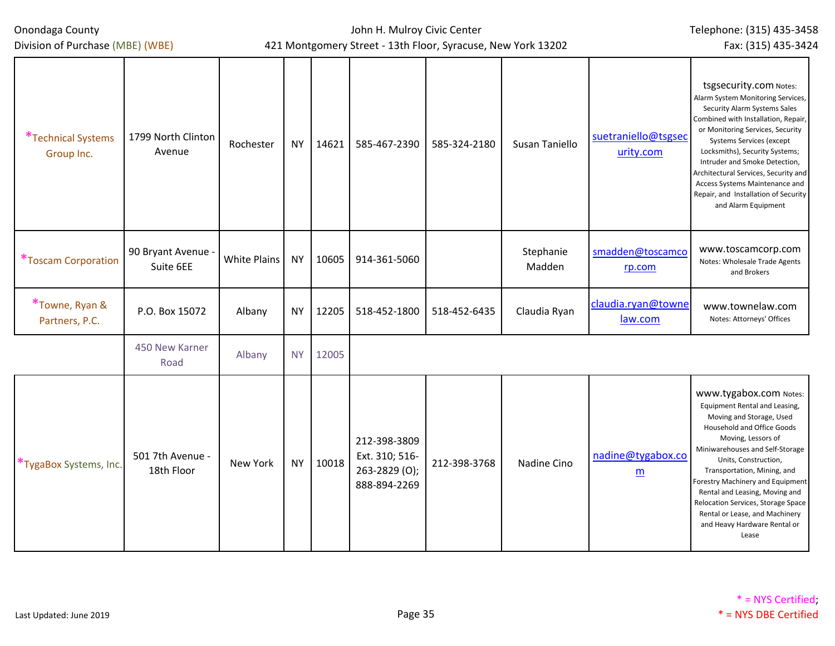Division of Purchase (MBE) (WBE)

Telephone: (315) 435-3458 Fax: (315) 435-3424

| *Technical Systems<br>Group Inc. | 1799 North Clinton<br>Avenue   | Rochester    | <b>NY</b> | 14621 | 585-467-2390                                                    | 585-324-2180 | Susan Taniello      | suetraniello@tsgsec<br>urity.com     | tsgsecurity.com Notes:<br>Alarm System Monitoring Services,<br>Security Alarm Systems Sales<br>Combined with Installation, Repair<br>or Monitoring Services, Security<br>Systems Services (except<br>Locksmiths), Security Systems;<br>Intruder and Smoke Detection,<br>Architectural Services, Security and<br>Access Systems Maintenance and<br>Repair, and Installation of Security<br>and Alarm Equipment            |
|----------------------------------|--------------------------------|--------------|-----------|-------|-----------------------------------------------------------------|--------------|---------------------|--------------------------------------|--------------------------------------------------------------------------------------------------------------------------------------------------------------------------------------------------------------------------------------------------------------------------------------------------------------------------------------------------------------------------------------------------------------------------|
| *Toscam Corporation              | 90 Bryant Avenue<br>Suite 6EE  | White Plains | <b>NY</b> | 10605 | 914-361-5060                                                    |              | Stephanie<br>Madden | smadden@toscamco<br>rp.com           | www.toscamcorp.com<br>Notes: Wholesale Trade Agents<br>and Brokers                                                                                                                                                                                                                                                                                                                                                       |
| *Towne, Ryan &<br>Partners, P.C. | P.O. Box 15072                 | Albany       | <b>NY</b> | 12205 | 518-452-1800                                                    | 518-452-6435 | Claudia Ryan        | claudia.ryan@towne<br>law.com        | www.townelaw.com<br>Notes: Attorneys' Offices                                                                                                                                                                                                                                                                                                                                                                            |
|                                  | 450 New Karner<br>Road         | Albany       | <b>NY</b> | 12005 |                                                                 |              |                     |                                      |                                                                                                                                                                                                                                                                                                                                                                                                                          |
| *TygaBox Systems, Inc.           | 501 7th Avenue -<br>18th Floor | New York     | <b>NY</b> | 10018 | 212-398-3809<br>Ext. 310; 516-<br>263-2829 (O);<br>888-894-2269 | 212-398-3768 | Nadine Cino         | nadine@tygabox.co<br>$\underline{m}$ | www.tygabox.com Notes:<br>Equipment Rental and Leasing,<br>Moving and Storage, Used<br>Household and Office Goods<br>Moving, Lessors of<br>Miniwarehouses and Self-Storage<br>Units, Construction,<br>Transportation, Mining, and<br>Forestry Machinery and Equipment<br>Rental and Leasing, Moving and<br>Relocation Services, Storage Space<br>Rental or Lease, and Machinery<br>and Heavy Hardware Rental or<br>Lease |